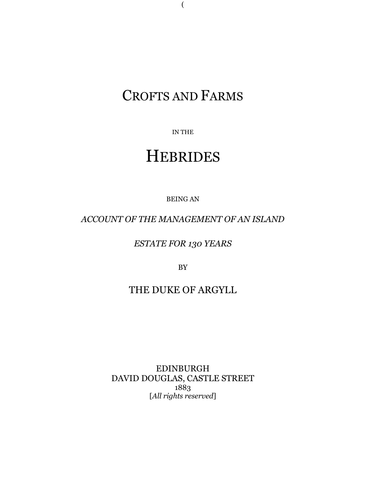# CROFTS AND FARMS

(

IN THE

# **HEBRIDES**

BEING AN

*ACCOUNT OF THE MANAGEMENT OF AN ISLAND*

*ESTATE FOR 130 YEARS*

BY

## THE DUKE OF ARGYLL

EDINBURGH DAVID DOUGLAS, CASTLE STREET 1883 [*All rights reserved*]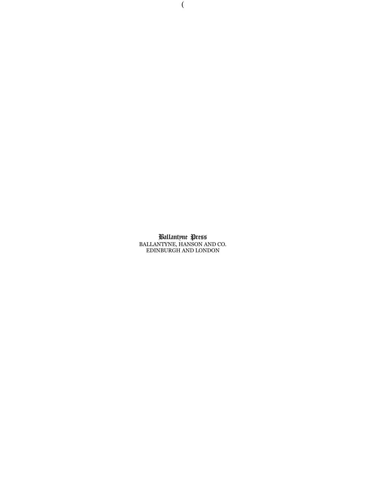Ballantyne Press BALLANTYNE, HANSON AND CO. EDINBURGH AND LONDON

(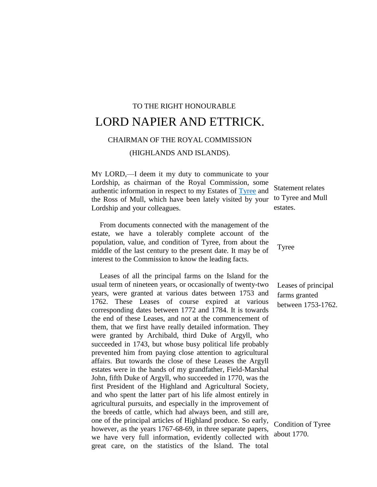## TO THE RIGHT HONOURABLE LORD NAPIER AND ETTRICK.

### CHAIRMAN OF THE ROYAL COMMISSION

(HIGHLANDS AND ISLANDS).

MY LORD,—I deem it my duty to communicate to your Lordship, as chairman of the Royal Commission, some authentic information in respect to my Estates of [Tyree](http://g.co/maps/znkmk) and the Ross of Mull, which have been lately visited by your Lordship and your colleagues.

From documents connected with the management of the estate, we have a tolerably complete account of the population, value, and condition of Tyree, from about the middle of the last century to the present date. It may be of interest to the Commission to know the leading facts.

Leases of all the principal farms on the Island for the usual term of nineteen years, or occasionally of twenty-two years, were granted at various dates between 1753 and 1762. These Leases of course expired at various corresponding dates between 1772 and 1784. It is towards the end of these Leases, and not at the commencement of them, that we first have really detailed information. They were granted by Archibald, third Duke of Argyll, who succeeded in 1743, but whose busy political life probably prevented him from paying close attention to agricultural affairs. But towards the close of these Leases the Argyll estates were in the hands of my grandfather, Field-Marshal John, fifth Duke of Argyll, who succeeded in 1770, was the first President of the Highland and Agricultural Society, and who spent the latter part of his life almost entirely in agricultural pursuits, and especially in the improvement of the breeds of cattle, which had always been, and still are, one of the principal articles of Highland produce. So early, however, as the years 1767-68-69, in three separate papers, we have very full information, evidently collected with great care, on the statistics of the Island. The total

Statement relates to Tyree and Mull estates.

Tyree

Leases of principal farms granted between 1753-1762.

Condition of Tyree about 1770.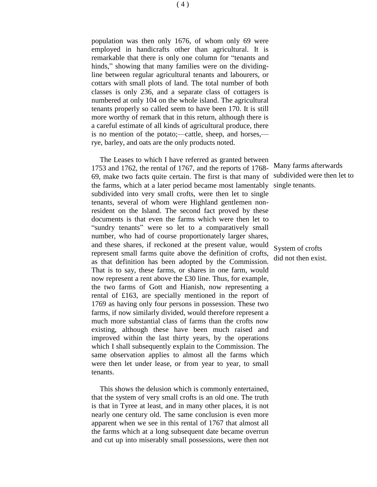population was then only 1676, of whom only 69 were employed in handicrafts other than agricultural. It is remarkable that there is only one column for "tenants and hinds," showing that many families were on the dividingline between regular agricultural tenants and labourers, or cottars with small plots of land. The total number of both classes is only 236, and a separate class of cottagers is numbered at only 104 on the whole island. The agricultural tenants properly so called seem to have been 170. It is still more worthy of remark that in this return, although there is a careful estimate of all kinds of agricultural produce, there is no mention of the potato;—cattle, sheep, and horses, rye, barley, and oats are the only products noted.

The Leases to which I have referred as granted between 1753 and 1762, the rental of 1767, and the reports of 1768- 69, make two facts quite certain. The first is that many of the farms, which at a later period became most lamentably subdivided into very small crofts, were then let to single tenants, several of whom were Highland gentlemen nonresident on the Island. The second fact proved by these documents is that even the farms which were then let to "sundry tenants" were so let to a comparatively small number, who had of course proportionately larger shares, and these shares, if reckoned at the present value, would represent small farms quite above the definition of crofts, as that definition has been adopted by the Commission. That is to say, these farms, or shares in one farm, would now represent a rent above the £30 line. Thus, for example, the two farms of Gott and Hianish, now representing a rental of £163, are specially mentioned in the report of 1769 as having only four persons in possession. These two farms, if now similarly divided, would therefore represent a much more substantial class of farms than the crofts now existing, although these have been much raised and improved within the last thirty years, by the operations which I shall subsequently explain to the Commission. The same observation applies to almost all the farms which were then let under lease, or from year to year, to small tenants.

This shows the delusion which is commonly entertained, that the system of very small crofts is an old one. The truth is that in Tyree at least, and in many other places, it is not nearly one century old. The same conclusion is even more apparent when we see in this rental of 1767 that almost all the farms which at a long subsequent date became overrun and cut up into miserably small possessions, were then not

Many farms afterwards subdivided were then let to single tenants.

System of crofts did not then exist.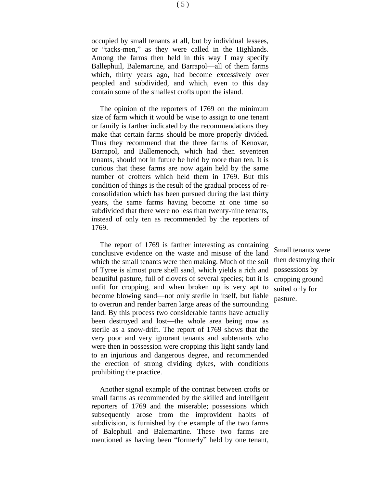occupied by small tenants at all, but by individual lessees, or "tacks-men," as they were called in the Highlands. Among the farms then held in this way I may specify Ballephuil, Balemartine, and Barrapol—all of them farms which, thirty years ago, had become excessively over peopled and subdivided, and which, even to this day contain some of the smallest crofts upon the island.

The opinion of the reporters of 1769 on the minimum size of farm which it would be wise to assign to one tenant or family is farther indicated by the recommendations they make that certain farms should be more properly divided. Thus they recommend that the three farms of Kenovar, Barrapol, and Ballemenoch, which had then seventeen tenants, should not in future be held by more than ten. It is curious that these farms are now again held by the same number of crofters which held them in 1769. But this condition of things is the result of the gradual process of reconsolidation which has been pursued during the last thirty years, the same farms having become at one time so subdivided that there were no less than twenty-nine tenants, instead of only ten as recommended by the reporters of 1769.

The report of 1769 is farther interesting as containing conclusive evidence on the waste and misuse of the land which the small tenants were then making. Much of the soil of Tyree is almost pure shell sand, which yields a rich and beautiful pasture, full of clovers of several species; but it is unfit for cropping, and when broken up is very apt to become blowing sand—not only sterile in itself, but liable to overrun and render barren large areas of the surrounding land. By this process two considerable farms have actually been destroyed and lost—the whole area being now as sterile as a snow-drift. The report of 1769 shows that the very poor and very ignorant tenants and subtenants who were then in possession were cropping this light sandy land to an injurious and dangerous degree, and recommended the erection of strong dividing dykes, with conditions prohibiting the practice.

Another signal example of the contrast between crofts or small farms as recommended by the skilled and intelligent reporters of 1769 and the miserable; possessions which subsequently arose from the improvident habits of subdivision, is furnished by the example of the two farms of Balephuil and Balemartine. These two farms are mentioned as having been "formerly" held by one tenant,

Small tenants were then destroying their possessions by cropping ground suited only for pasture.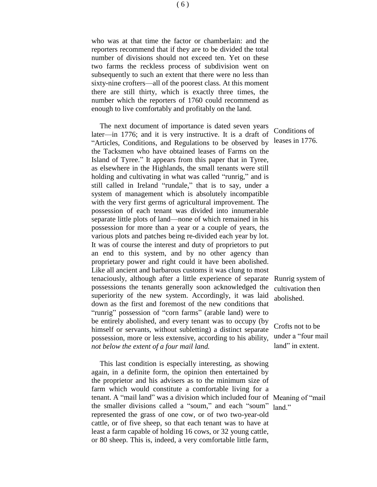who was at that time the factor or chamberlain: and the reporters recommend that if they are to be divided the total number of divisions should not exceed ten. Yet on these two farms the reckless process of subdivision went on subsequently to such an extent that there were no less than sixty-nine crofters—all of the poorest class. At this moment there are still thirty, which is exactly three times, the number which the reporters of 1760 could recommend as enough to live comfortably and profitably on the land.

The next document of importance is dated seven years later—in 1776; and it is very instructive. It is a draft of "Articles, Conditions, and Regulations to be observed by the Tacksmen who have obtained leases of Farms on the Island of Tyree." It appears from this paper that in Tyree, as elsewhere in the Highlands, the small tenants were still holding and cultivating in what was called "runrig," and is still called in Ireland "rundale," that is to say, under a system of management which is absolutely incompatible with the very first germs of agricultural improvement. The possession of each tenant was divided into innumerable separate little plots of land—none of which remained in his possession for more than a year or a couple of years, the various plots and patches being re-divided each year by lot. It was of course the interest and duty of proprietors to put an end to this system, and by no other agency than proprietary power and right could it have been abolished. Like all ancient and barbarous customs it was clung to most tenaciously, although after a little experience of separate possessions the tenants generally soon acknowledged the superiority of the new system. Accordingly, it was laid down as the first and foremost of the new conditions that "runrig" possession of "corn farms" (arable land) were to be entirely abolished, and every tenant was to occupy (by himself or servants, without subletting) a distinct separate possession, more or less extensive, according to his ability, *not below the extent of a four mail land.*

This last condition is especially interesting, as showing again, in a definite form, the opinion then entertained by the proprietor and his advisers as to the minimum size of farm which would constitute a comfortable living for a tenant. A "mail land" was a division which included four of Meaning of "mail the smaller divisions called a "soum," and each "soum" land."represented the grass of one cow, or of two two-year-old cattle, or of five sheep, so that each tenant was to have at least a farm capable of holding 16 cows, or 32 young cattle, or 80 sheep. This is, indeed, a very comfortable little farm,

Conditions of leases in 1776.

Runrig system of cultivation then abolished.

Crofts not to be under a "four mail land" in extent.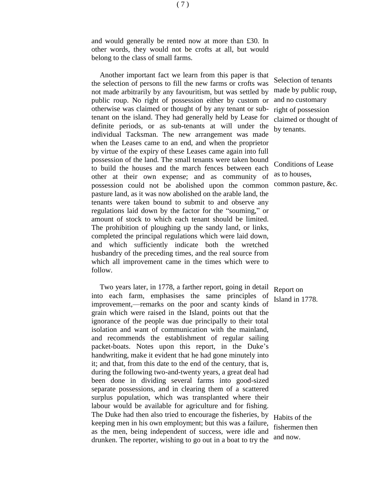and would generally be rented now at more than £30. In other words, they would not be crofts at all, but would belong to the class of small farms.

Another important fact we learn from this paper is that the selection of persons to fill the new farms or crofts was not made arbitrarily by any favouritism, but was settled by public roup. No right of possession either by custom or otherwise was claimed or thought of by any tenant or subtenant on the island. They had generally held by Lease for definite periods, or as sub-tenants at will under the individual Tacksman. The new arrangement was made when the Leases came to an end, and when the proprietor by virtue of the expiry of these Leases came again into full possession of the land. The small tenants were taken bound to build the houses and the march fences between each other at their own expense; and as community of possession could not be abolished upon the common pasture land, as it was now abolished on the arable land, the tenants were taken bound to submit to and observe any regulations laid down by the factor for the "souming," or amount of stock to which each tenant should be limited. The prohibition of ploughing up the sandy land, or links, completed the principal regulations which were laid down, and which sufficiently indicate both the wretched husbandry of the preceding times, and the real source from which all improvement came in the times which were to follow.

Two years later, in 1778, a farther report, going in detail into each farm, emphasises the same principles of improvement,—remarks on the poor and scanty kinds of grain which were raised in the Island, points out that the ignorance of the people was due principally to their total isolation and want of communication with the mainland, and recommends the establishment of regular sailing packet-boats. Notes upon this report, in the Duke's handwriting, make it evident that he had gone minutely into it; and that, from this date to the end of the century, that is, during the following two-and-twenty years, a great deal had been done in dividing several farms into good-sized separate possessions, and in clearing them of a scattered surplus population, which was transplanted where their labour would be available for agriculture and for fishing. The Duke had then also tried to encourage the fisheries, by keeping men in his own employment; but this was a failure, as the men, being independent of success, were idle and drunken. The reporter, wishing to go out in a boat to try the

Selection of tenants made by public roup, and no customary right of possession claimed or thought of by tenants.

Conditions of Lease as to houses, common pasture, &c.

Report on Island in 1778.

Habits of the fishermen then and now.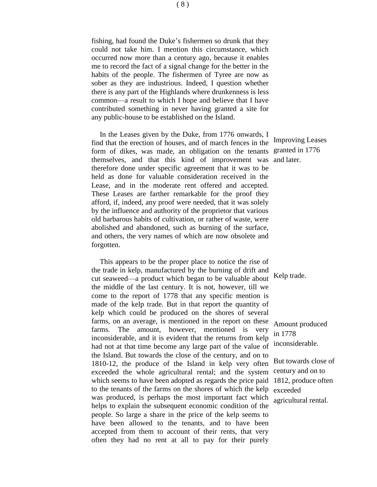fishing, had found the Duke's fishermen so drunk that they could not take him. I mention this circumstance, which occurred now more than a century ago, because it enables me to record the fact of a signal change for the better in the habits of the people. The fishermen of Tyree are now as sober as they are industrious. Indeed, I question whether there is any part of the Highlands where drunkenness is less common—a result to which I hope and believe that I have contributed something in never having granted a site for any public-house to be established on the Island.

In the Leases given by the Duke, from 1776 onwards, I find that the erection of houses, and of march fences in the form of dikes, was made, an obligation on the tenants themselves, and that this kind of improvement was therefore done under specific agreement that it was to be held as done for valuable consideration received in the Lease, and in the moderate rent offered and accepted. These Leases are farther remarkable for the proof they afford, if, indeed, any proof were needed, that it was solely by the influence and authority of the proprietor that various old barbarous habits of cultivation, or rather of waste, were abolished and abandoned, such as burning of the surface, and others, the very names of which are now obsolete and forgotten.

This appears to be the proper place to notice the rise of the trade in kelp, manufactured by the burning of drift and cut seaweed—a product which began to be valuable about the middle of the last century. It is not, however, till we come to the report of 1778 that any specific mention is made of the kelp trade. But in that report the quantity of kelp which could be produced on the shores of several farms, on an average, is mentioned in the report on these farms. The amount, however, mentioned is very inconsiderable, and it is evident that the returns from kelp had not at that time become any large part of the value of the Island. But towards the close of the century, and on to 1810-12, the produce of the Island in kelp very often exceeded the whole agricultural rental; and the system which seems to have been adopted as regards the price paid to the tenants of the farms on the shores of which the kelp was produced, is perhaps the most important fact which helps to explain the subsequent economic condition of the people. So large a share in the price of the kelp seems to have been allowed to the tenants, and to have been accepted from them to account of their rents, that very often they had no rent at all to pay for their purely

Improving Leases granted in 1776 and later.

Kelp trade.

Amount produced in 1778 inconsiderable.

But towards close of century and on to 1812, produce often exceeded agricultural rental.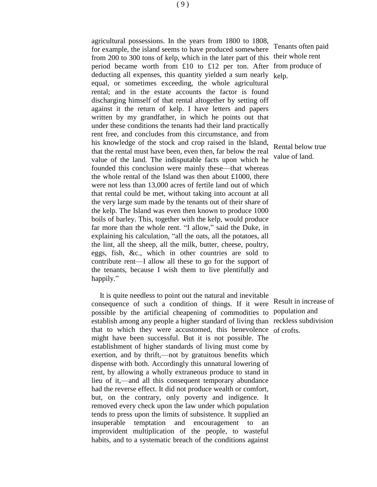agricultural possessions. In the years from 1800 to 1808, for example, the island seems to have produced somewhere from 200 to 300 tons of kelp, which in the later part of this period became worth from £10 to £12 per ton. After deducting all expenses, this quantity yielded a sum nearly equal, or sometimes exceeding, the whole agricultural rental; and in the estate accounts the factor is found discharging himself of that rental altogether by setting off against it the return of kelp. I have letters and papers written by my grandfather, in which he points out that under these conditions the tenants had their land practically rent free, and concludes from this circumstance, and from his knowledge of the stock and crop raised in the Island, that the rental must have been, even then, far below the real value of the land. The indisputable facts upon which he founded this conclusion were mainly these—that whereas the whole rental of the Island was then about £1000, there were not less than 13,000 acres of fertile land out of which that rental could be met, without taking into account at all the very large sum made by the tenants out of their share of the kelp. The Island was even then known to produce 1000 boils of barley. This, together with the kelp, would produce far more than the whole rent. "I allow," said the Duke, in explaining his calculation, "all the oats, all the potatoes, all the lint, all the sheep, all the milk, butter, cheese, poultry, eggs, fish, &c., which in other countries are sold to contribute rent—I allow all these to go for the support of the tenants, because I wish them to live plentifully and happily."

It is quite needless to point out the natural and inevitable consequence of such a condition of things. If it were possible by the artificial cheapening of commodities to establish among any people a higher standard of living than reckless subdivision that to which they were accustomed, this benevolence of crofts.might have been successful. But it is not possible. The establishment of higher standards of living must come by exertion, and by thrift,—not by gratuitous benefits which dispense with both. Accordingly this unnatural lowering of rent, by allowing a wholly extraneous produce to stand in lieu of it,—and all this consequent temporary abundance had the reverse effect. It did not produce wealth or comfort, but, on the contrary, only poverty and indigence. It removed every check upon the law under which population tends to press upon the limits of subsistence. It supplied an insuperable temptation and encouragement to an improvident multiplication of the people, to wasteful habits, and to a systematic breach of the conditions against

Tenants often paid their whole rent from produce of kelp.

Rental below true value of land.

Result in increase of population and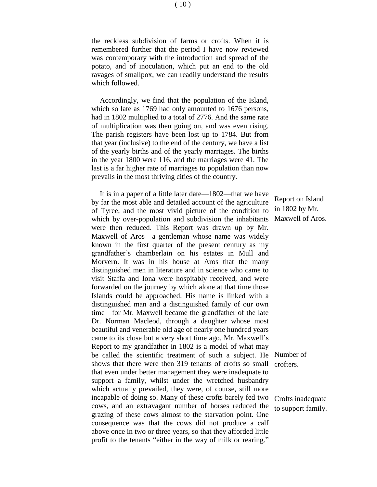the reckless subdivision of farms or crofts. When it is remembered further that the period I have now reviewed was contemporary with the introduction and spread of the potato, and of inoculation, which put an end to the old ravages of smallpox, we can readily understand the results which followed.

Accordingly, we find that the population of the Island, which so late as 1769 had only amounted to 1676 persons, had in 1802 multiplied to a total of 2776. And the same rate of multiplication was then going on, and was even rising. The parish registers have been lost up to 1784. But from that year (inclusive) to the end of the century, we have a list of the yearly births and of the yearly marriages. The births in the year 1800 were 116, and the marriages were 41. The last is a far higher rate of marriages to population than now prevails in the most thriving cities of the country.

It is in a paper of a little later date—1802—that we have by far the most able and detailed account of the agriculture of Tyree, and the most vivid picture of the condition to which by over-population and subdivision the inhabitants were then reduced. This Report was drawn up by Mr. Maxwell of Aros—a gentleman whose name was widely known in the first quarter of the present century as my grandfather's chamberlain on his estates in Mull and Morvern. It was in his house at Aros that the many distinguished men in literature and in science who came to visit Staffa and Iona were hospitably received, and were forwarded on the journey by which alone at that time those Islands could be approached. His name is linked with a distinguished man and a distinguished family of our own time—for Mr. Maxwell became the grandfather of the late Dr. Norman Macleod, through a daughter whose most beautiful and venerable old age of nearly one hundred years came to its close but a very short time ago. Mr. Maxwell's Report to my grandfather in 1802 is a model of what may be called the scientific treatment of such a subject. He Number of shows that there were then 319 tenants of crofts so small that even under better management they were inadequate to support a family, whilst under the wretched husbandry which actually prevailed, they were, of course, still more incapable of doing so. Many of these crofts barely fed two cows, and an extravagant number of horses reduced the grazing of these cows almost to the starvation point. One consequence was that the cows did not produce a calf above once in two or three years, so that they afforded little profit to the tenants "either in the way of milk or rearing."

Report on Island in 1802 by Mr. Maxwell of Aros.

crofters.

Crofts inadequate to support family.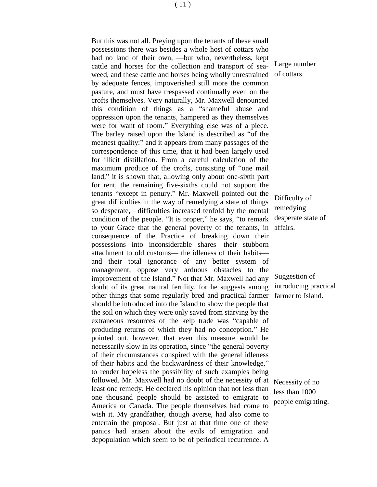( 11 )

But this was not all. Preying upon the tenants of these small possessions there was besides a whole host of cottars who had no land of their own, —but who, nevertheless, kept cattle and horses for the collection and transport of seaweed, and these cattle and horses being wholly unrestrained by adequate fences, impoverished still more the common pasture, and must have trespassed continually even on the crofts themselves. Very naturally, Mr. Maxwell denounced this condition of things as a "shameful abuse and oppression upon the tenants, hampered as they themselves were for want of room." Everything else was of a piece. The barley raised upon the Island is described as "of the meanest quality:" and it appears from many passages of the correspondence of this time, that it had been largely used for illicit distillation. From a careful calculation of the maximum produce of the crofts, consisting of "one mail land," it is shown that, allowing only about one-sixth part for rent, the remaining five-sixths could not support the tenants "except in penury." Mr. Maxwell pointed out the great difficulties in the way of remedying a state of things so desperate,—difficulties increased tenfold by the mental condition of the people. "It is proper," he says, "to remark to your Grace that the general poverty of the tenants, in consequence of the Practice of breaking down their possessions into inconsiderable shares—their stubborn attachment to old customs— the idleness of their habits and their total ignorance of any better system of management, oppose very arduous obstacles to the improvement of the Island." Not that Mr. Maxwell had any doubt of its great natural fertility, for he suggests among other things that some regularly bred and practical farmer should be introduced into the Island to show the people that the soil on which they were only saved from starving by the extraneous resources of the kelp trade was "capable of producing returns of which they had no conception." He pointed out, however, that even this measure would be necessarily slow in its operation, since "the general poverty of their circumstances conspired with the general idleness of their habits and the backwardness of their knowledge," to render hopeless the possibility of such examples being followed. Mr. Maxwell had no doubt of the necessity of at least one remedy. He declared his opinion that not less than one thousand people should be assisted to emigrate to America or Canada. The people themselves had come to wish it. My grandfather, though averse, had also come to entertain the proposal. But just at that time one of these panics had arisen about the evils of emigration and depopulation which seem to be of periodical recurrence. A

Large number of cottars.

Difficulty of remedying desperate state of affairs.

Suggestion of introducing practical farmer to Island.

Necessity of no less than 1000 people emigrating.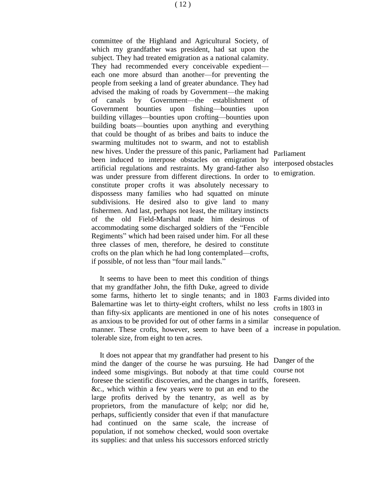committee of the Highland and Agricultural Society, of which my grandfather was president, had sat upon the subject. They had treated emigration as a national calamity. They had recommended every conceivable expedient each one more absurd than another—for preventing the people from seeking a land of greater abundance. They had advised the making of roads by Government—the making of canals by Government—the establishment of Government bounties upon fishing—bounties upon building villages—bounties upon crofting—bounties upon building boats—bounties upon anything and everything that could be thought of as bribes and baits to induce the swarming multitudes not to swarm, and not to establish new hives. Under the pressure of this panic, Parliament had Parliament been induced to interpose obstacles on emigration by artificial regulations and restraints. My grand-father also was under pressure from different directions. In order to constitute proper crofts it was absolutely necessary to dispossess many families who had squatted on minute subdivisions. He desired also to give land to many fishermen. And last, perhaps not least, the military instincts of the old Field-Marshal made him desirous of accommodating some discharged soldiers of the "Fencible Regiments" which had been raised under him. For all these three classes of men, therefore, he desired to constitute crofts on the plan which he had long contemplated—crofts, if possible, of not less than "four mail lands."

It seems to have been to meet this condition of things that my grandfather John, the fifth Duke, agreed to divide some farms, hitherto let to single tenants; and in 1803 Balemartine was let to thirty-eight crofters, whilst no less than fifty-six applicants are mentioned in one of his notes as anxious to be provided for out of other farms in a similar manner. These crofts, however, seem to have been of a tolerable size, from eight to ten acres.

It does not appear that my grandfather had present to his mind the danger of the course he was pursuing. He had indeed some misgivings. But nobody at that time could foresee the scientific discoveries, and the changes in tariffs, foreseen.&c., which within a few years were to put an end to the large profits derived by the tenantry, as well as by proprietors, from the manufacture of kelp; nor did he, perhaps, sufficiently consider that even if that manufacture had continued on the same scale, the increase of population, if not somehow checked, would soon overtake its supplies: and that unless his successors enforced strictly

interposed obstacles to emigration.

Farms divided into crofts in 1803 in consequence of increase in population.

Danger of the course not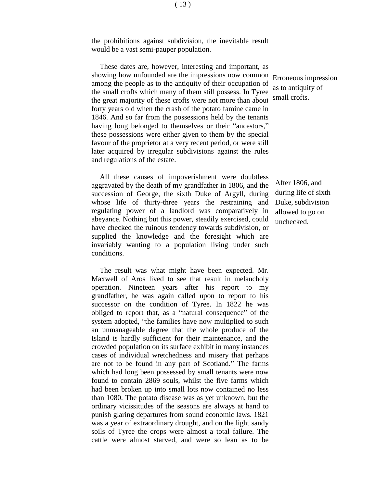the prohibitions against subdivision, the inevitable result would be a vast semi-pauper population.

These dates are, however, interesting and important, as showing how unfounded are the impressions now common among the people as to the antiquity of their occupation of the small crofts which many of them still possess. In Tyree the great majority of these crofts were not more than about forty years old when the crash of the potato famine came in 1846. And so far from the possessions held by the tenants having long belonged to themselves or their "ancestors," these possessions were either given to them by the special favour of the proprietor at a very recent period, or were still later acquired by irregular subdivisions against the rules and regulations of the estate.

All these causes of impoverishment were doubtless aggravated by the death of my grandfather in 1806, and the succession of George, the sixth Duke of Argyll, during whose life of thirty-three years the restraining and regulating power of a landlord was comparatively in abeyance. Nothing but this power, steadily exercised, could have checked the ruinous tendency towards subdivision, or supplied the knowledge and the foresight which are invariably wanting to a population living under such conditions.

The result was what might have been expected. Mr. Maxwell of Aros lived to see that result in melancholy operation. Nineteen years after his report to my grandfather, he was again called upon to report to his successor on the condition of Tyree. In 1822 he was obliged to report that, as a "natural consequence" of the system adopted, "the families have now multiplied to such an unmanageable degree that the whole produce of the Island is hardly sufficient for their maintenance, and the crowded population on its surface exhibit in many instances cases of individual wretchedness and misery that perhaps are not to be found in any part of Scotland." The farms which had long been possessed by small tenants were now found to contain 2869 souls, whilst the five farms which had been broken up into small lots now contained no less than 1080. The potato disease was as yet unknown, but the ordinary vicissitudes of the seasons are always at hand to punish glaring departures from sound economic laws. 1821 was a year of extraordinary drought, and on the light sandy soils of Tyree the crops were almost a total failure. The cattle were almost starved, and were so lean as to be

Erroneous impression as to antiquity of small crofts.

After 1806, and during life of sixth Duke, subdivision allowed to go on unchecked.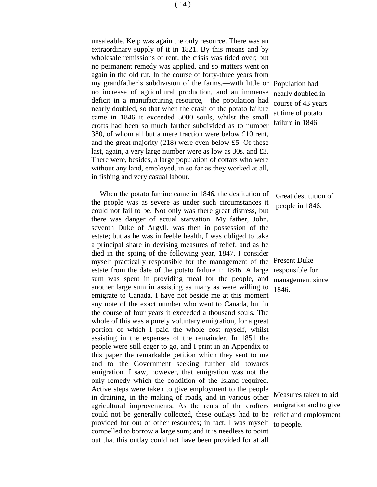unsaleable. Kelp was again the only resource. There was an extraordinary supply of it in 1821. By this means and by wholesale remissions of rent, the crisis was tided over; but no permanent remedy was applied, and so matters went on again in the old rut. In the course of forty-three years from my grandfather's subdivision of the farms,—with little or Population had no increase of agricultural production, and an immense deficit in a manufacturing resource,—the population had nearly doubled, so that when the crash of the potato failure came in 1846 it exceeded 5000 souls, whilst the small crofts had been so much farther subdivided as to number 380, of whom all but a mere fraction were below £10 rent, and the great majority (218) were even below £5. Of these last, again, a very large number were as low as 30s. and £3. There were, besides, a large population of cottars who were without any land, employed, in so far as they worked at all, in fishing and very casual labour.

When the potato famine came in 1846, the destitution of the people was as severe as under such circumstances it could not fail to be. Not only was there great distress, but there was danger of actual starvation. My father, John, seventh Duke of Argyll, was then in possession of the estate; but as he was in feeble health, I was obliged to take a principal share in devising measures of relief, and as he died in the spring of the following year, 1847, I consider myself practically responsible for the management of the estate from the date of the potato failure in 1846. A large sum was spent in providing meal for the people, and another large sum in assisting as many as were willing to emigrate to Canada. I have not beside me at this moment any note of the exact number who went to Canada, but in the course of four years it exceeded a thousand souls. The whole of this was a purely voluntary emigration, for a great portion of which I paid the whole cost myself, whilst assisting in the expenses of the remainder. In 1851 the people were still eager to go, and I print in an Appendix to this paper the remarkable petition which they sent to me and to the Government seeking further aid towards emigration. I saw, however, that emigration was not the only remedy which the condition of the Island required. Active steps were taken to give employment to the people in draining, in the making of roads, and in various other agricultural improvements. As the rents of the crofters could not be generally collected, these outlays had to be relief and employment provided for out of other resources; in fact, I was myself compelled to borrow a large sum; and it is needless to point out that this outlay could not have been provided for at all

nearly doubled in course of 43 years at time of potato failure in 1846.

Great destitution of people in 1846.

Present Duke responsible for management since 1846.

Measures taken to aid emigration and to give to people.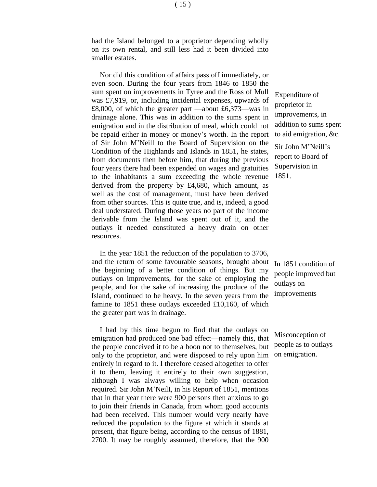had the Island belonged to a proprietor depending wholly on its own rental, and still less had it been divided into smaller estates.

Nor did this condition of affairs pass off immediately, or even soon. During the four years from 1846 to 1850 the sum spent on improvements in Tyree and the Ross of Mull was £7,919, or, including incidental expenses, upwards of £8,000, of which the greater part —about £6,373—was in drainage alone. This was in addition to the sums spent in emigration and in the distribution of meal, which could not be repaid either in money or money's worth. In the report of Sir John M'Neill to the Board of Supervision on the Condition of the Highlands and Islands in 1851, he states, from documents then before him, that during the previous four years there had been expended on wages and gratuities to the inhabitants a sum exceeding the whole revenue derived from the property by £4,680, which amount, as well as the cost of management, must have been derived from other sources. This is quite true, and is, indeed, a good deal understated. During those years no part of the income derivable from the Island was spent out of it, and the outlays it needed constituted a heavy drain on other resources.

In the year 1851 the reduction of the population to 3706, and the return of some favourable seasons, brought about the beginning of a better condition of things. But my outlays on improvements, for the sake of employing the people, and for the sake of increasing the produce of the Island, continued to be heavy. In the seven years from the famine to 1851 these outlays exceeded £10,160, of which the greater part was in drainage.

I had by this time begun to find that the outlays on emigration had produced one bad effect—namely this, that the people conceived it to be a boon not to themselves, but only to the proprietor, and were disposed to rely upon him entirely in regard to it. I therefore ceased altogether to offer it to them, leaving it entirely to their own suggestion, although I was always willing to help when occasion required. Sir John M'NeilI, in his Report of 1851, mentions that in that year there were 900 persons then anxious to go to join their friends in Canada, from whom good accounts had been received. This number would very nearly have reduced the population to the figure at which it stands at present, that figure being, according to the census of 1881, 2700. It may be roughly assumed, therefore, that the 900

Expenditure of proprietor in improvements, in addition to sums spent to aid emigration, &c.

Sir John M'Neill's report to Board of Supervision in 1851.

In 1851 condition of people improved but outlays on improvements

Misconception of people as to outlays on emigration.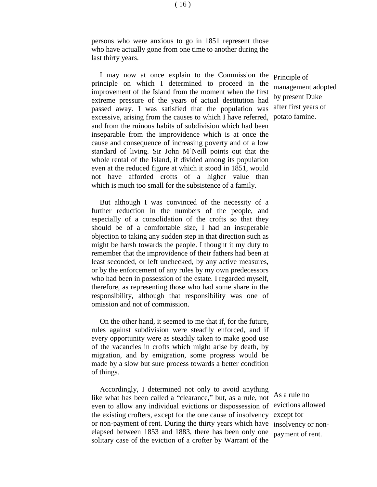persons who were anxious to go in 1851 represent those who have actually gone from one time to another during the last thirty years.

I may now at once explain to the Commission the principle on which I determined to proceed in the improvement of the Island from the moment when the first extreme pressure of the years of actual destitution had passed away. I was satisfied that the population was excessive, arising from the causes to which I have referred, and from the ruinous habits of subdivision which had been inseparable from the improvidence which is at once the cause and consequence of increasing poverty and of a low standard of living. Sir John M'Neill points out that the whole rental of the Island, if divided among its population even at the reduced figure at which it stood in 1851, would not have afforded crofts of a higher value than which is much too small for the subsistence of a family.

But although I was convinced of the necessity of a further reduction in the numbers of the people, and especially of a consolidation of the crofts so that they should be of a comfortable size, I had an insuperable objection to taking any sudden step in that direction such as might be harsh towards the people. I thought it my duty to remember that the improvidence of their fathers had been at least seconded, or left unchecked, by any active measures, or by the enforcement of any rules by my own predecessors who had been in possession of the estate. I regarded myself, therefore, as representing those who had some share in the responsibility, although that responsibility was one of omission and not of commission.

On the other hand, it seemed to me that if, for the future, rules against subdivision were steadily enforced, and if every opportunity were as steadily taken to make good use of the vacancies in crofts which might arise by death, by migration, and by emigration, some progress would be made by a slow but sure process towards a better condition of things.

Accordingly, I determined not only to avoid anything like what has been called a "clearance," but, as a rule, not even to allow any individual evictions or dispossession of the existing crofters, except for the one cause of insolvency or non-payment of rent. During the thirty years which have insolvency or nonelapsed between 1853 and 1883, there has been only one solitary case of the eviction of a crofter by Warrant of the

As a rule no evictions allowed except for payment of rent.

Principle of management adopted by present Duke after first years of potato famine.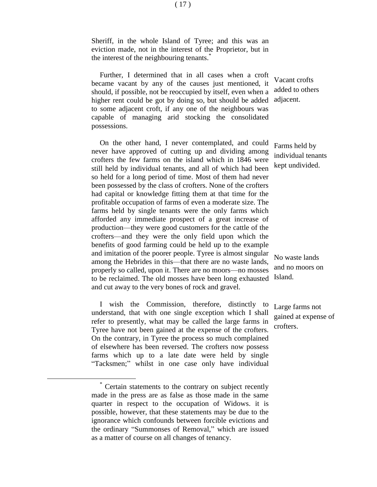Sheriff, in the whole Island of Tyree; and this was an eviction made, not in the interest of the Proprietor, but in the interest of the neighbouring tenants.<sup>†</sup>

Further, I determined that in all cases when a croft became vacant by any of the causes just mentioned, it should, if possible, not be reoccupied by itself, even when a higher rent could be got by doing so, but should be added to some adjacent croft, if any one of the neighbours was capable of managing arid stocking the consolidated possessions.

On the other hand, I never contemplated, and could never have approved of cutting up and dividing among crofters the few farms on the island which in 1846 were still held by individual tenants, and all of which had been so held for a long period of time. Most of them had never been possessed by the class of crofters. None of the crofters had capital or knowledge fitting them at that time for the profitable occupation of farms of even a moderate size. The farms held by single tenants were the only farms which afforded any immediate prospect of a great increase of production—they were good customers for the cattle of the crofters—and they were the only field upon which the benefits of good farming could be held up to the example and imitation of the poorer people. Tyree is almost singular among the Hebrides in this—that there are no waste lands, properly so called, upon it. There are no moors—no mosses to be reclaimed. The old mosses have been long exhausted and cut away to the very bones of rock and gravel.

I wish the Commission, therefore, distinctly to understand, that with one single exception which I shall refer to presently, what may be called the large farms in Tyree have not been gained at the expense of the crofters. On the contrary, in Tyree the process so much complained of elsewhere has been reversed. The crofters now possess farms which up to a late date were held by single "Tacksmen;" whilst in one case only have individual

 $\overline{a}$ 

Vacant crofts added to others adjacent.

Farms held by individual tenants kept undivided.

No waste lands and no moors on Island.

Large farms not gained at expense of crofters.

( 17 )

Certain statements to the contrary on subject recently made in the press are as false as those made in the same quarter in respect to the occupation of Widows. it is possible, however, that these statements may be due to the ignorance which confounds between forcible evictions and the ordinary "Summonses of Removal," which are issued as a matter of course on all changes of tenancy.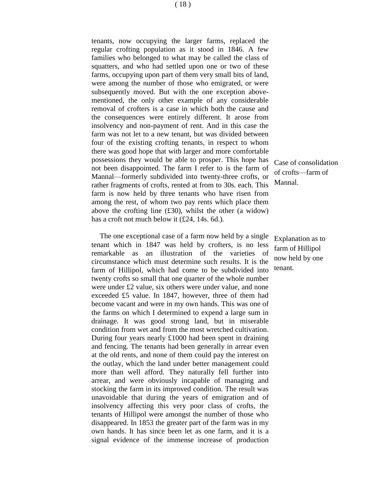tenants, now occupying the larger farms, replaced the regular crofting population as it stood in 1846. A few families who belonged to what may be called the class of squatters, and who had settled upon one or two of these farms, occupying upon part of them very small bits of land, were among the number of those who emigrated, or were subsequently moved. But with the one exception abovementioned, the only other example of any considerable removal of crofters is a case in which both the cause and the consequences were entirely different. It arose from insolvency and non-payment of rent. And in this case the farm was not let to a new tenant, but was divided between four of the existing crofting tenants, in respect to whom there was good hope that with larger and more comfortable possessions they would be able to prosper. This hope has not been disappointed. The farm I refer to is the farm of Mannal—formerly subdivided into twenty-three crofts, or rather fragments of crofts, rented at from to 30s. each. This farm is now held by three tenants who have risen from among the rest, of whom two pay rents which place them above the crofting line  $(f30)$ , whilst the other (a widow) has a croft not much below it (£24, 14s. 6d.).

The one exceptional case of a farm now held by a single tenant which in 1847 was held by crofters, is no less remarkable as an illustration of the varieties of circumstance which must determine such results. It is the farm of Hillipol, which had come to be subdivided into twenty crofts so small that one quarter of the whole number were under £2 value, six others were under value, and none exceeded £5 value. In 1847, however, three of them had become vacant and were in my own hands. This was one of the farms on which I determined to expend a large sum in drainage. It was good strong land, but in miserable condition from wet and from the most wretched cultivation. During four years nearly £1000 had been spent in draining and fencing. The tenants had been generally in arrear even at the old rents, and none of them could pay the interest on the outlay, which the land under better management could more than well afford. They naturally fell further into arrear, and were obviously incapable of managing and stocking the farm in its improved condition. The result was unavoidable that during the years of emigration and of insolvency affecting this very poor class of crofts, the tenants of Hillipol were amongst the number of those who disappeared. In 1853 the greater part of the farm was in my own hands. It has since been let as one farm, and it is a signal evidence of the immense increase of production

Case of consolidation of crofts—farm of Mannal.

Explanation as to farm of Hillipol now held by one tenant.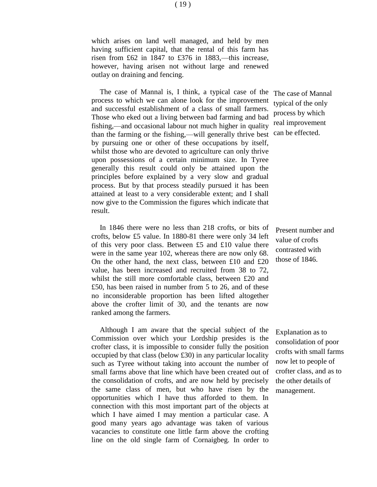which arises on land well managed, and held by men having sufficient capital, that the rental of this farm has risen from £62 in 1847 to £376 in 1883,—this increase, however, having arisen not without large and renewed outlay on draining and fencing.

The case of Mannal is, I think, a typical case of the process to which we can alone look for the improvement and successful establishment of a class of small farmers. Those who eked out a living between bad farming and bad fishing,—and occasional labour not much higher in quality than the farming or the fishing,—will generally thrive best by pursuing one or other of these occupations by itself, whilst those who are devoted to agriculture can only thrive upon possessions of a certain minimum size. In Tyree generally this result could only be attained upon the principles before explained by a very slow and gradual process. But by that process steadily pursued it has been attained at least to a very considerable extent; and I shall now give to the Commission the figures which indicate that result.

In 1846 there were no less than 218 crofts, or bits of crofts, below £5 value. In 1880-81 there were only 34 left of this very poor class. Between  $£5$  and  $£10$  value there were in the same year 102, whereas there are now only 68. On the other hand, the next class, between £10 and £20 value, has been increased and recruited from 38 to 72, whilst the still more comfortable class, between £20 and £50, has been raised in number from 5 to 26, and of these no inconsiderable proportion has been lifted altogether above the crofter limit of 30, and the tenants are now ranked among the farmers.

Although I am aware that the special subject of the Commission over which your Lordship presides is the crofter class, it is impossible to consider fully the position occupied by that class (below £30) in any particular locality such as Tyree without taking into account the number of small farms above that line which have been created out of the consolidation of crofts, and are now held by precisely the same class of men, but who have risen by the opportunities which I have thus afforded to them. In connection with this most important part of the objects at which I have aimed I may mention a particular case. A good many years ago advantage was taken of various vacancies to constitute one little farm above the crofting line on the old single farm of Cornaigbeg. In order to

The case of Mannal typical of the only process by which real improvement can be effected.

Present number and value of crofts contrasted with those of 1846.

Explanation as to consolidation of poor crofts with small farms now let to people of crofter class, and as to the other details of management.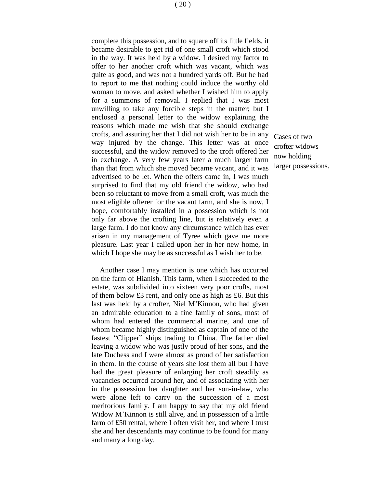complete this possession, and to square off its little fields, it became desirable to get rid of one small croft which stood in the way. It was held by a widow. I desired my factor to offer to her another croft which was vacant, which was quite as good, and was not a hundred yards off. But he had to report to me that nothing could induce the worthy old woman to move, and asked whether I wished him to apply for a summons of removal. I replied that I was most unwilling to take any forcible steps in the matter; but I enclosed a personal letter to the widow explaining the reasons which made me wish that she should exchange crofts, and assuring her that I did not wish her to be in any way injured by the change. This letter was at once successful, and the widow removed to the croft offered her in exchange. A very few years later a much larger farm than that from which she moved became vacant, and it was advertised to be let. When the offers came in, I was much surprised to find that my old friend the widow, who had been so reluctant to move from a small croft, was much the most eligible offerer for the vacant farm, and she is now, I hope, comfortably installed in a possession which is not only far above the crofting line, but is relatively even a large farm. I do not know any circumstance which has ever arisen in my management of Tyree which gave me more

pleasure. Last year I called upon her in her new home, in which I hope she may be as successful as I wish her to be.

Another case I may mention is one which has occurred on the farm of Hianish. This farm, when I succeeded to the estate, was subdivided into sixteen very poor crofts, most of them below £3 rent, and only one as high as £6. But this last was held by a crofter, Niel M'Kinnon, who had given an admirable education to a fine family of sons, most of whom had entered the commercial marine, and one of whom became highly distinguished as captain of one of the fastest "Clipper" ships trading to China. The father died leaving a widow who was justly proud of her sons, and the late Duchess and I were almost as proud of her satisfaction in them. In the course of years she lost them all but I have had the great pleasure of enlarging her croft steadily as vacancies occurred around her, and of associating with her in the possession her daughter and her son-in-law, who were alone left to carry on the succession of a most meritorious family. I am happy to say that my old friend Widow M'Kinnon is still alive, and in possession of a little farm of £50 rental, where I often visit her, and where I trust she and her descendants may continue to be found for many and many a long day.

Cases of two crofter widows now holding larger possessions.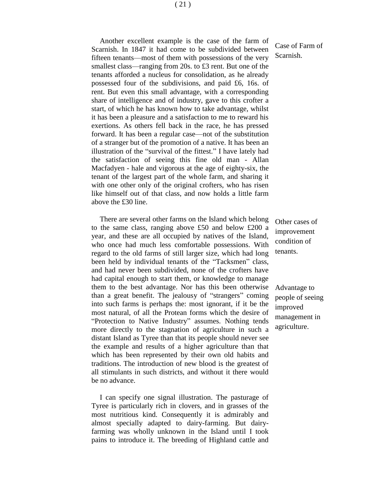Another excellent example is the case of the farm of Scarnish. In 1847 it had come to be subdivided between fifteen tenants—most of them with possessions of the very smallest class—ranging from 20s. to £3 rent. But one of the tenants afforded a nucleus for consolidation, as he already possessed four of the subdivisions, and paid £6, 16s. of rent. But even this small advantage, with a corresponding share of intelligence and of industry, gave to this crofter a start, of which he has known how to take advantage, whilst it has been a pleasure and a satisfaction to me to reward his exertions. As others fell back in the race, he has pressed forward. It has been a regular case—not of the substitution of a stranger but of the promotion of a native. It has been an illustration of the "survival of the fittest." I have lately had the satisfaction of seeing this fine old man - Allan Macfadyen - hale and vigorous at the age of eighty-six, the tenant of the largest part of the whole farm, and sharing it with one other only of the original crofters, who has risen like himself out of that class, and now holds a little farm above the £30 line.

There are several other farms on the Island which belong to the same class, ranging above £50 and below £200 a year, and these are all occupied by natives of the Island, who once had much less comfortable possessions. With regard to the old farms of still larger size, which had long been held by individual tenants of the "Tacksmen" class, and had never been subdivided, none of the crofters have had capital enough to start them, or knowledge to manage them to the best advantage. Nor has this been otherwise than a great benefit. The jealousy of "strangers" coming into such farms is perhaps the: most ignorant, if it be the most natural, of all the Protean forms which the desire of "Protection to Native Industry" assumes. Nothing tends more directly to the stagnation of agriculture in such a distant Island as Tyree than that its people should never see the example and results of a higher agriculture than that which has been represented by their own old habits and traditions. The introduction of new blood is the greatest of all stimulants in such districts, and without it there would be no advance.

I can specify one signal illustration. The pasturage of Tyree is particularly rich in clovers, and in grasses of the most nutritious kind. Consequently it is admirably and almost specially adapted to dairy-farming. But dairyfarming was wholly unknown in the Island until I took pains to introduce it. The breeding of Highland cattle and

Case of Farm of Scarnish.

Other cases of improvement condition of tenants.

Advantage to people of seeing improved management in agriculture.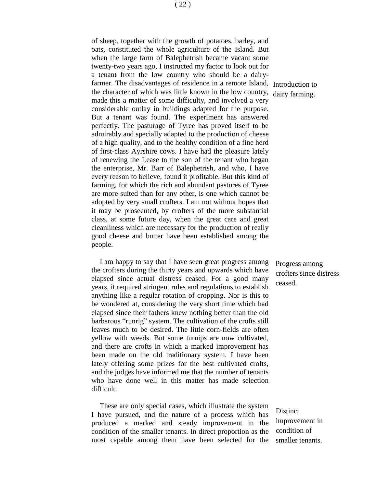of sheep, together with the growth of potatoes, barley, and oats, constituted the whole agriculture of the Island. But when the large farm of Balephetrish became vacant some twenty-two years ago, I instructed my factor to look out for a tenant from the low country who should be a dairyfarmer. The disadvantages of residence in a remote Island, Introduction to the character of which was little known in the low country, dairy farming. made this a matter of some difficulty, and involved a very considerable outlay in buildings adapted for the purpose. But a tenant was found. The experiment has answered perfectly. The pasturage of Tyree has proved itself to be admirably and specially adapted to the production of cheese of a high quality, and to the healthy condition of a fine herd of first-class Ayrshire cows. I have had the pleasure lately of renewing the Lease to the son of the tenant who began the enterprise, Mr. Barr of Balephetrish, and who, I have every reason to believe, found it profitable. But this kind of farming, for which the rich and abundant pastures of Tyree are more suited than for any other, is one which cannot be adopted by very small crofters. I am not without hopes that it may be prosecuted, by crofters of the more substantial class, at some future day, when the great care and great cleanliness which are necessary for the production of really good cheese and butter have been established among the people.

I am happy to say that I have seen great progress among the crofters during the thirty years and upwards which have elapsed since actual distress ceased. For a good many years, it required stringent rules and regulations to establish anything like a regular rotation of cropping. Nor is this to be wondered at, considering the very short time which had elapsed since their fathers knew nothing better than the old barbarous "runrig" system. The cultivation of the crofts still leaves much to be desired. The little corn-fields are often yellow with weeds. But some turnips are now cultivated, and there are crofts in which a marked improvement has been made on the old traditionary system. I have been lately offering some prizes for the best cultivated crofts, and the judges have informed me that the number of tenants who have done well in this matter has made selection difficult.

These are only special cases, which illustrate the system I have pursued, and the nature of a process which has produced a marked and steady improvement in the condition of the smaller tenants. In direct proportion as the most capable among them have been selected for the

Progress among crofters since distress ceased.

**Distinct** improvement in condition of smaller tenants.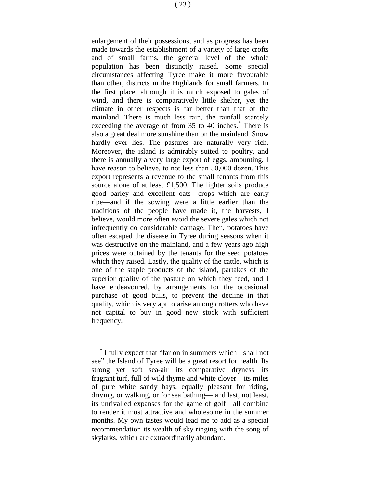enlargement of their possessions, and as progress has been made towards the establishment of a variety of large crofts and of small farms, the general level of the whole population has been distinctly raised. Some special circumstances affecting Tyree make it more favourable than other, districts in the Highlands for small farmers. In the first place, although it is much exposed to gales of wind, and there is comparatively little shelter, yet the climate in other respects is far better than that of the mainland. There is much less rain, the rainfall scarcely exceeding the average of from 35 to 40 inches.<sup>\*</sup> There is also a great deal more sunshine than on the mainland. Snow hardly ever lies. The pastures are naturally very rich. Moreover, the island is admirably suited to poultry, and there is annually a very large export of eggs, amounting, I have reason to believe, to not less than 50,000 dozen. This export represents a revenue to the small tenants from this source alone of at least £1,500. The lighter soils produce good barley and excellent oats—crops which are early ripe—and if the sowing were a little earlier than the traditions of the people have made it, the harvests, I believe, would more often avoid the severe gales which not infrequently do considerable damage. Then, potatoes have often escaped the disease in Tyree during seasons when it was destructive on the mainland, and a few years ago high prices were obtained by the tenants for the seed potatoes which they raised. Lastly, the quality of the cattle, which is one of the staple products of the island, partakes of the superior quality of the pasture on which they feed, and I have endeavoured, by arrangements for the occasional purchase of good bulls, to prevent the decline in that quality, which is very apt to arise among crofters who have not capital to buy in good new stock with sufficient frequency.

<sup>\*</sup> I fully expect that "far on in summers which I shall not see" the Island of Tyree will be a great resort for health. Its strong yet soft sea-air—its comparative dryness—its fragrant turf, full of wild thyme and white clover—its miles of pure white sandy bays, equally pleasant for riding, driving, or walking, or for sea bathing— and last, not least, its unrivalled expanses for the game of golf—all combine to render it most attractive and wholesome in the summer months. My own tastes would lead me to add as a special recommendation its wealth of sky ringing with the song of skylarks, which are extraordinarily abundant.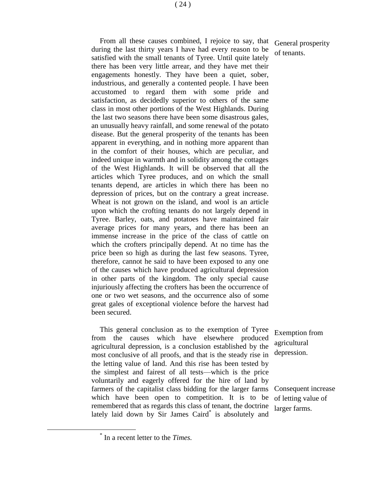From all these causes combined, I rejoice to say, that during the last thirty years I have had every reason to be satisfied with the small tenants of Tyree. Until quite lately there has been very little arrear, and they have met their engagements honestly. They have been a quiet, sober, industrious, and generally a contented people. I have been accustomed to regard them with some pride and satisfaction, as decidedly superior to others of the same class in most other portions of the West Highlands. During the last two seasons there have been some disastrous gales, an unusually heavy rainfall, and some renewal of the potato disease. But the general prosperity of the tenants has been apparent in everything, and in nothing more apparent than in the comfort of their houses, which are peculiar, and indeed unique in warmth and in solidity among the cottages of the West Highlands. It will be observed that all the articles which Tyree produces, and on which the small tenants depend, are articles in which there has been no depression of prices, but on the contrary a great increase. Wheat is not grown on the island, and wool is an article upon which the crofting tenants do not largely depend in Tyree. Barley, oats, and potatoes have maintained fair average prices for many years, and there has been an immense increase in the price of the class of cattle on which the crofters principally depend. At no time has the price been so high as during the last few seasons. Tyree, therefore, cannot he said to have been exposed to any one of the causes which have produced agricultural depression in other parts of the kingdom. The only special cause injuriously affecting the crofters has been the occurrence of one or two wet seasons, and the occurrence also of some great gales of exceptional violence before the harvest had been secured.

This general conclusion as to the exemption of Tyree from the causes which have elsewhere produced agricultural depression, is a conclusion established by the most conclusive of all proofs, and that is the steady rise in the letting value of land. And this rise has been tested by the simplest and fairest of all tests—which is the price voluntarily and eagerly offered for the hire of land by farmers of the capitalist class bidding for the larger farms which have been open to competition. It is to be remembered that as regards this class of tenant, the doctrine lately laid down by Sir James Caird\* is absolutely and

Exemption from agricultural depression.

General prosperity

of tenants.

Consequent increase of letting value of larger farms.

<sup>\*</sup> In a recent letter to the *Times.*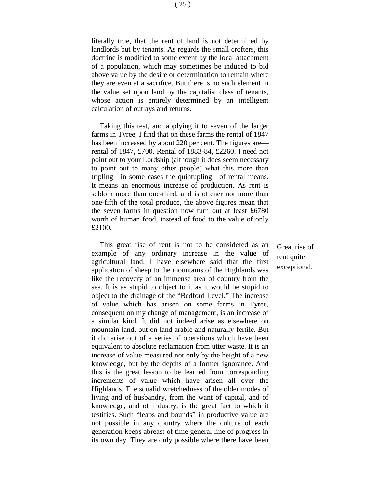literally true, that the rent of land is not determined by landlords but by tenants. As regards the small crofters, this doctrine is modified to some extent by the local attachment of a population, which may sometimes be induced to bid above value by the desire or determination to remain where they are even at a sacrifice. But there is no such element in the value set upon land by the capitalist class of tenants, whose action is entirely determined by an intelligent calculation of outlays and returns.

Taking this test, and applying it to seven of the larger farms in Tyree, I find that on these farms the rental of 1847 has been increased by about 220 per cent. The figures are rental of 1847, £700. Rental of 1883-84, £2260. I need not point out to your Lordship (although it does seem necessary to point out to many other people) what this more than tripling—in some cases the quintupling—of rental means. It means an enormous increase of production. As rent is seldom more than one-third, and is oftener not more than one-fifth of the total produce, the above figures mean that the seven farms in question now turn out at least £6780 worth of human food, instead of food to the value of only £2100.

This great rise of rent is not to be considered as an example of any ordinary increase in the value of agricultural land. I have elsewhere said that the first application of sheep to the mountains of the Highlands was like the recovery of an immense area of country from the sea. It is as stupid to object to it as it would be stupid to object to the drainage of the "Bedford Level." The increase of value which has arisen on some farms in Tyree, consequent on my change of management, is an increase of a similar kind. It did not indeed arise as elsewhere on mountain land, but on land arable and naturally fertile. But it did arise out of a series of operations which have been equivalent to absolute reclamation from utter waste. It is an increase of value measured not only by the height of a new knowledge, but by the depths of a former ignorance. And this is the great lesson to be learned from corresponding increments of value which have arisen all over the Highlands. The squalid wretchedness of the older modes of living and of husbandry, from the want of capital, and of knowledge, and of industry, is the great fact to which it testifies. Such "leaps and bounds" in productive value are not possible in any country where the culture of each generation keeps abreast of time general line of progress in its own day. They are only possible where there have been

Great rise of rent quite exceptional.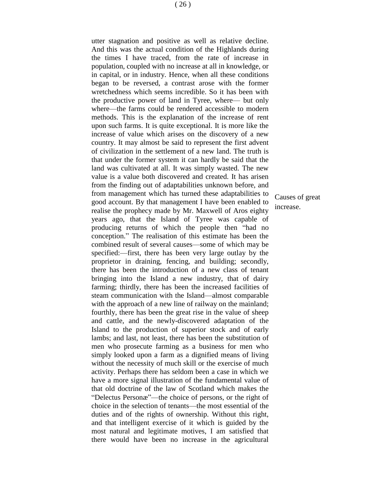utter stagnation and positive as well as relative decline. And this was the actual condition of the Highlands during the times I have traced, from the rate of increase in population, coupled with no increase at all in knowledge, or in capital, or in industry. Hence, when all these conditions began to be reversed, a contrast arose with the former wretchedness which seems incredible. So it has been with the productive power of land in Tyree, where— but only where—the farms could be rendered accessible to modern methods. This is the explanation of the increase of rent upon such farms. It is quite exceptional. It is more like the increase of value which arises on the discovery of a new country. It may almost be said to represent the first advent of civilization in the settlement of a new land. The truth is that under the former system it can hardly be said that the land was cultivated at all. It was simply wasted. The new value is a value both discovered and created. It has arisen from the finding out of adaptabilities unknown before, and from management which has turned these adaptabilities to good account. By that management I have been enabled to realise the prophecy made by Mr. Maxwell of Aros eighty years ago, that the Island of Tyree was capable of producing returns of which the people then "had no conception." The realisation of this estimate has been the combined result of several causes—some of which may be specified:—first, there has been very large outlay by the proprietor in draining, fencing, and building; secondly, there has been the introduction of a new class of tenant bringing into the Island a new industry, that of dairy farming; thirdly, there has been the increased facilities of steam communication with the Island—almost comparable with the approach of a new line of railway on the mainland; fourthly, there has been the great rise in the value of sheep and cattle, and the newly-discovered adaptation of the Island to the production of superior stock and of early lambs; and last, not least, there has been the substitution of men who prosecute farming as a business for men who simply looked upon a farm as a dignified means of living without the necessity of much skill or the exercise of much activity. Perhaps there has seldom been a case in which we have a more signal illustration of the fundamental value of that old doctrine of the law of Scotland which makes the "Delectus Personæ"—the choice of persons, or the right of choice in the selection of tenants—the most essential of the duties and of the rights of ownership. Without this right, and that intelligent exercise of it which is guided by the most natural and legitimate motives, I am satisfied that there would have been no increase in the agricultural

Causes of great increase.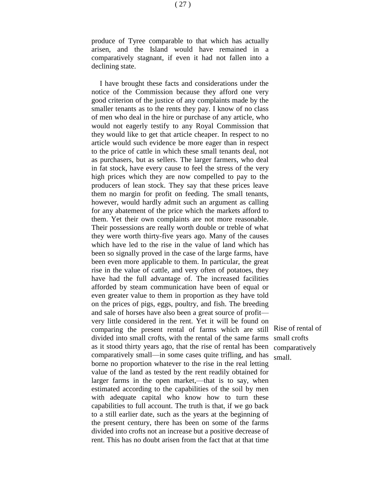declining state.

I have brought these facts and considerations under the notice of the Commission because they afford one very good criterion of the justice of any complaints made by the smaller tenants as to the rents they pay. I know of no class of men who deal in the hire or purchase of any article, who would not eagerly testify to any Royal Commission that they would like to get that article cheaper. In respect to no article would such evidence be more eager than in respect to the price of cattle in which these small tenants deal, not as purchasers, but as sellers. The larger farmers, who deal in fat stock, have every cause to feel the stress of the very high prices which they are now compelled to pay to the producers of lean stock. They say that these prices leave them no margin for profit on feeding. The small tenants, however, would hardly admit such an argument as calling for any abatement of the price which the markets afford to them. Yet their own complaints are not more reasonable. Their possessions are really worth double or treble of what they were worth thirty-five years ago. Many of the causes which have led to the rise in the value of land which has been so signally proved in the case of the large farms, have been even more applicable to them. In particular, the great rise in the value of cattle, and very often of potatoes, they have had the full advantage of. The increased facilities afforded by steam communication have been of equal or even greater value to them in proportion as they have told on the prices of pigs, eggs, poultry, and fish. The breeding and sale of horses have also been a great source of profit very little considered in the rent. Yet it will be found on comparing the present rental of farms which are still Rise of rental of divided into small crofts, with the rental of the same farms small crofts as it stood thirty years ago, that the rise of rental has been comparatively comparatively small—in some cases quite trifling, and has small.borne no proportion whatever to the rise in the real letting value of the land as tested by the rent readily obtained for larger farms in the open market,—that is to say, when estimated according to the capabilities of the soil by men with adequate capital who know how to turn these capabilities to full account. The truth is that, if we go back to a still earlier date, such as the years at the beginning of the present century, there has been on some of the farms divided into crofts not an increase but a positive decrease of rent. This has no doubt arisen from the fact that at that time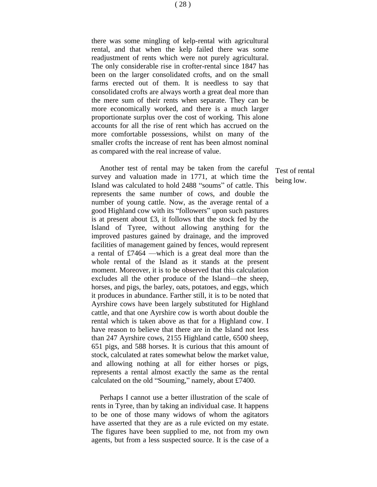there was some mingling of kelp-rental with agricultural rental, and that when the kelp failed there was some readjustment of rents which were not purely agricultural. The only considerable rise in crofter-rental since 1847 has been on the larger consolidated crofts, and on the small farms erected out of them. It is needless to say that consolidated crofts are always worth a great deal more than the mere sum of their rents when separate. They can be more economically worked, and there is a much larger proportionate surplus over the cost of working. This alone accounts for all the rise of rent which has accrued on the more comfortable possessions, whilst on many of the smaller crofts the increase of rent has been almost nominal as compared with the real increase of value.

Another test of rental may be taken from the careful survey and valuation made in 1771, at which time the Island was calculated to hold 2488 "soums" of cattle. This represents the same number of cows, and double the number of young cattle. Now, as the average rental of a good Highland cow with its "followers" upon such pastures is at present about £3, it follows that the stock fed by the Island of Tyree, without allowing anything for the improved pastures gained by drainage, and the improved facilities of management gained by fences, would represent a rental of £7464 —which is a great deal more than the whole rental of the Island as it stands at the present moment. Moreover, it is to be observed that this calculation excludes all the other produce of the Island—the sheep, horses, and pigs, the barley, oats, potatoes, and eggs, which it produces in abundance. Farther still, it is to be noted that Ayrshire cows have been largely substituted for Highland cattle, and that one Ayrshire cow is worth about double the rental which is taken above as that for a Highland cow. I have reason to believe that there are in the Island not less than 247 Ayrshire cows, 2155 Highland cattle, 6500 sheep, 651 pigs, and 588 horses. It is curious that this amount of stock, calculated at rates somewhat below the market value, and allowing nothing at all for either horses or pigs, represents a rental almost exactly the same as the rental calculated on the old "Souming," namely, about £7400.

Perhaps I cannot use a better illustration of the scale of rents in Tyree, than by taking an individual case. It happens to be one of those many widows of whom the agitators have asserted that they are as a rule evicted on my estate. The figures have been supplied to me, not from my own agents, but from a less suspected source. It is the case of a

Test of rental being low.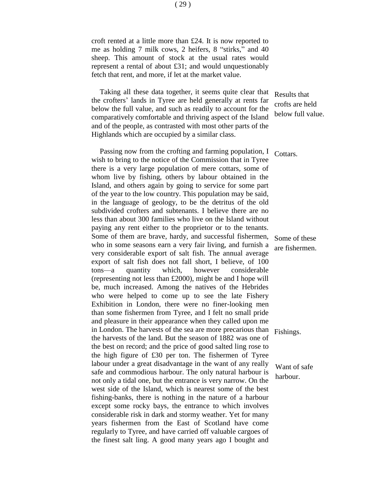Taking all these data together, it seems quite clear that the crofters' lands in Tyree are held generally at rents far below the full value, and such as readily to account for the comparatively comfortable and thriving aspect of the Island and of the people, as contrasted with most other parts of the Highlands which are occupied by a similar class.

Passing now from the crofting and farming population, I wish to bring to the notice of the Commission that in Tyree there is a very large population of mere cottars, some of whom live by fishing, others by labour obtained in the Island, and others again by going to service for some part of the year to the low country. This population may be said, in the language of geology, to be the detritus of the old subdivided crofters and subtenants. I believe there are no less than about 300 families who live on the Island without paying any rent either to the proprietor or to the tenants. Some of them are brave, hardy, and successful fishermen, who in some seasons earn a very fair living, and furnish a very considerable export of salt fish. The annual average export of salt fish does not fall short, I believe, of 100 tons—a quantity which, however considerable (representing not less than £2000), might be and I hope will be, much increased. Among the natives of the Hebrides who were helped to come up to see the late Fishery Exhibition in London, there were no finer-looking men than some fishermen from Tyree, and I felt no small pride and pleasure in their appearance when they called upon me in London. The harvests of the sea are more precarious than the harvests of the land. But the season of 1882 was one of the best on record; and the price of good salted ling rose to the high figure of £30 per ton. The fishermen of Tyree labour under a great disadvantage in the want of any really safe and commodious harbour. The only natural harbour is not only a tidal one, but the entrance is very narrow. On the west side of the Island, which is nearest some of the best fishing-banks, there is nothing in the nature of a harbour except some rocky bays, the entrance to which involves considerable risk in dark and stormy weather. Yet for many years fishermen from the East of Scotland have come regularly to Tyree, and have carried off valuable cargoes of the finest salt ling. A good many years ago I bought and

Results that crofts are held below full value.

Cottars.

Some of these are fishermen.

Fishings.

Want of safe harbour.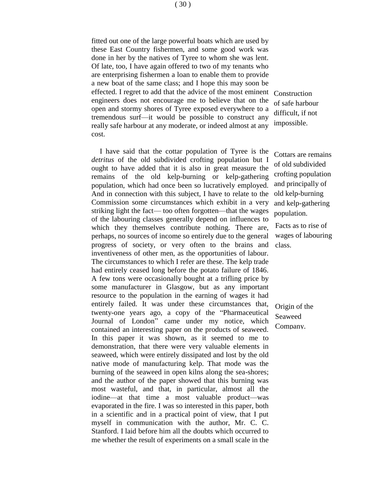fitted out one of the large powerful boats which are used by these East Country fishermen, and some good work was done in her by the natives of Tyree to whom she was lent. Of late, too, I have again offered to two of my tenants who are enterprising fishermen a loan to enable them to provide a new boat of the same class; and I hope this may soon be effected. I regret to add that the advice of the most eminent Construction engineers does not encourage me to believe that on the open and stormy shores of Tyree exposed everywhere to a tremendous surf—it would be possible to construct any really safe harbour at any moderate, or indeed almost at any cost.

I have said that the cottar population of Tyree is the *detritus* of the old subdivided crofting population but I ought to have added that it is also in great measure the remains of the old kelp-burning or kelp-gathering population, which had once been so lucratively employed. And in connection with this subject, I have to relate to the Commission some circumstances which exhibit in a very striking light the fact— too often forgotten—that the wages of the labouring classes generally depend on influences to which they themselves contribute nothing. There are, perhaps, no sources of income so entirely due to the general progress of society, or very often to the brains and inventiveness of other men, as the opportunities of labour. The circumstances to which I refer are these. The kelp trade had entirely ceased long before the potato failure of 1846. A few tons were occasionally bought at a trifling price by some manufacturer in Glasgow, but as any important resource to the population in the earning of wages it had entirely failed. It was under these circumstances that, twenty-one years ago, a copy of the "Pharmaceutical Journal of London" came under my notice, which contained an interesting paper on the products of seaweed. In this paper it was shown, as it seemed to me to demonstration, that there were very valuable elements in seaweed, which were entirely dissipated and lost by the old native mode of manufacturing kelp. That mode was the burning of the seaweed in open kilns along the sea-shores; and the author of the paper showed that this burning was most wasteful, and that, in particular, almost all the iodine—at that time a most valuable product—was evaporated in the fire. I was so interested in this paper, both in a scientific and in a practical point of view, that I put myself in communication with the author, Mr. C. C. Stanford. I laid before him all the doubts which occurred to me whether the result of experiments on a small scale in the

of safe harbour difficult, if not impossible.

Cottars are remains of old subdivided crofting population and principally of old kelp-burning and kelp-gathering population.

Facts as to rise of wages of labouring class.

Origin of the Seaweed Company.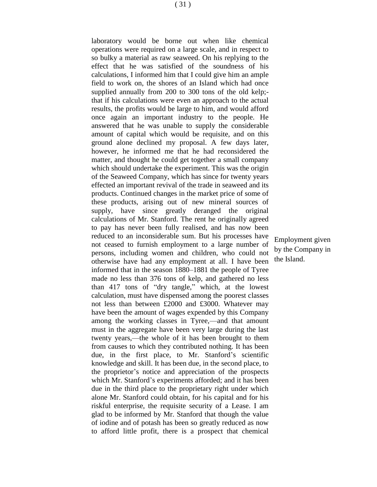laboratory would be borne out when like chemical operations were required on a large scale, and in respect to so bulky a material as raw seaweed. On his replying to the effect that he was satisfied of the soundness of his calculations, I informed him that I could give him an ample field to work on, the shores of an Island which had once supplied annually from 200 to 300 tons of the old kelp;that if his calculations were even an approach to the actual results, the profits would be large to him, and would afford once again an important industry to the people. He answered that he was unable to supply the considerable amount of capital which would be requisite, and on this ground alone declined my proposal. A few days later, however, he informed me that he had reconsidered the matter, and thought he could get together a small company which should undertake the experiment. This was the origin of the Seaweed Company, which has since for twenty years effected an important revival of the trade in seaweed and its products. Continued changes in the market price of some of these products, arising out of new mineral sources of supply, have since greatly deranged the original calculations of Mr. Stanford. The rent he originally agreed to pay has never been fully realised, and has now been reduced to an inconsiderable sum. But his processes have not ceased to furnish employment to a large number of persons, including women and children, who could not otherwise have had any employment at all. I have been informed that in the season 1880–1881 the people of Tyree made no less than 376 tons of kelp, and gathered no less than 417 tons of "dry tangle," which, at the lowest calculation, must have dispensed among the poorest classes not less than between £2000 and £3000. Whatever may have been the amount of wages expended by this Company among the working classes in Tyree,—and that amount must in the aggregate have been very large during the last twenty years,—the whole of it has been brought to them from causes to which they contributed nothing. It has been due, in the first place, to Mr. Stanford's scientific knowledge and skill. It has been due, in the second place, to the proprietor's notice and appreciation of the prospects which Mr. Stanford's experiments afforded; and it has been due in the third place to the proprietary right under which alone Mr. Stanford could obtain, for his capital and for his riskful enterprise, the requisite security of a Lease. I am glad to be informed by Mr. Stanford that though the value of iodine and of potash has been so greatly reduced as now to afford little profit, there is a prospect that chemical

Employment given by the Company in the Island.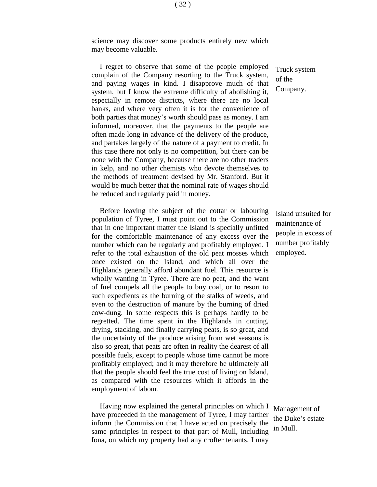science may discover some products entirely new which may become valuable.

I regret to observe that some of the people employed complain of the Company resorting to the Truck system, and paying wages in kind. I disapprove much of that system, but I know the extreme difficulty of abolishing it, especially in remote districts, where there are no local banks, and where very often it is for the convenience of both parties that money's worth should pass as money. I am informed, moreover, that the payments to the people are often made long in advance of the delivery of the produce, and partakes largely of the nature of a payment to credit. In this case there not only is no competition, but there can be none with the Company, because there are no other traders in kelp, and no other chemists who devote themselves to the methods of treatment devised by Mr. Stanford. But it would be much better that the nominal rate of wages should be reduced and regularly paid in money.

Before leaving the subject of the cottar or labouring population of Tyree, I must point out to the Commission that in one important matter the Island is specially unfitted for the comfortable maintenance of any excess over the number which can be regularly and profitably employed. I refer to the total exhaustion of the old peat mosses which once existed on the Island, and which all over the Highlands generally afford abundant fuel. This resource is wholly wanting in Tyree. There are no peat, and the want of fuel compels all the people to buy coal, or to resort to such expedients as the burning of the stalks of weeds, and even to the destruction of manure by the burning of dried cow-dung. In some respects this is perhaps hardly to be regretted. The time spent in the Highlands in cutting, drying, stacking, and finally carrying peats, is so great, and the uncertainty of the produce arising from wet seasons is also so great, that peats are often in reality the dearest of all possible fuels, except to people whose time cannot be more profitably employed; and it may therefore be ultimately all that the people should feel the true cost of living on Island, as compared with the resources which it affords in the employment of labour.

Having now explained the general principles on which I have proceeded in the management of Tyree, I may farther inform the Commission that I have acted on precisely the same principles in respect to that part of Mull, including Iona, on which my property had any crofter tenants. I may

Truck system of the Company.

Island unsuited for maintenance of people in excess of number profitably employed.

Management of the Duke's estate in Mull.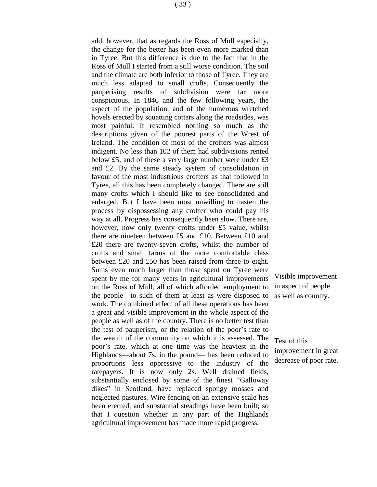add, however, that as regards the Ross of Mull especially, the change for the better has been even more marked than in Tyree. But this difference is due to the fact that in the Ross of Mull I started from a still worse condition. The soil and the climate are both inferior to those of Tyree. They are much less adapted to small crofts. Consequently the pauperising results of subdivision were far more conspicuous. In 1846 and the few following years, the aspect of the population, and of the numerous wretched hovels erected by squatting cottars along the roadsides, was most painful. It resembled nothing so much as the descriptions given of the poorest parts of the Wrest of Ireland. The condition of most of the crofters was almost indigent. No less than 102 of them had subdivisions rented below £5, and of these a very large number were under £3 and £2. By the same steady system of consolidation in favour of the most industrious crofters as that followed in Tyree, all this has been completely changed. There are still many crofts which I should like to see consolidated and enlarged. But I have been most unwilling to hasten the process by dispossessing any crofter who could pay his way at all. Progress has consequently been slow. There are, however, now only twenty crofts under £5 value, whilst there are nineteen between £5 and £10. Between £10 and £20 there are twenty-seven crofts, whilst the number of crofts and small farms of the more comfortable class between £20 and £50 has been raised from three to eight. Sums even much larger than those spent on Tyree were spent by me for many years in agricultural improvements on the Ross of Mull, all of which afforded employment to the people—to such of them at least as were disposed to work. The combined effect of all these operations has been a great and visible improvement in the whole aspect of the

people as well as of the country. There is no better test than the test of pauperism, or the relation of the poor's rate to the wealth of the community on which it is assessed. The poor's rate, which at one time was the heaviest in the Highlands—about 7s. in the pound— has been reduced to proportions less oppressive to the industry of the ratepayers. It is now only 2s. Well drained fields, substantially enclosed by some of the finest "Galloway dikes" in Scotland, have replaced spongy mosses and

neglected pastures. Wire-fencing on an extensive scale has been erected, and substantial steadings have been built; so that I question whether in any part of the Highlands agricultural improvement has made more rapid progress.

Visible improvement in aspect of people as well as country.

Test of this improvement in great decrease of poor rate.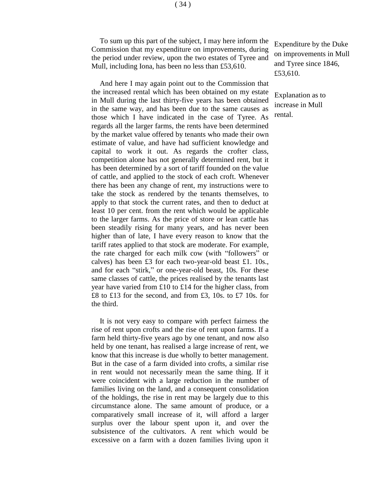To sum up this part of the subject, I may here inform the Commission that my expenditure on improvements, during the period under review, upon the two estates of Tyree and Mull, including Iona, has been no less than £53,610.

And here I may again point out to the Commission that the increased rental which has been obtained on my estate in Mull during the last thirty-five years has been obtained in the same way, and has been due to the same causes as those which I have indicated in the case of Tyree. As regards all the larger farms, the rents have been determined by the market value offered by tenants who made their own estimate of value, and have had sufficient knowledge and capital to work it out. As regards the crofter class, competition alone has not generally determined rent, but it has been determined by a sort of tariff founded on the value of cattle, and applied to the stock of each croft. Whenever there has been any change of rent, my instructions were to take the stock as rendered by the tenants themselves, to apply to that stock the current rates, and then to deduct at least 10 per cent. from the rent which would be applicable to the larger farms. As the price of store or lean cattle has been steadily rising for many years, and has never been higher than of late, I have every reason to know that the tariff rates applied to that stock are moderate. For example, the rate charged for each milk cow (with "followers" or calves) has been £3 for each two-year-old beast £1. 10s., and for each "stirk," or one-year-old beast, 10s. For these same classes of cattle, the prices realised by the tenants last year have varied from £10 to £14 for the higher class, from £8 to £13 for the second, and from £3, 10s. to £7 10s. for the third.

It is not very easy to compare with perfect fairness the rise of rent upon crofts and the rise of rent upon farms. If a farm held thirty-five years ago by one tenant, and now also held by one tenant, has realised a large increase of rent, we know that this increase is due wholly to better management. But in the case of a farm divided into crofts, a similar rise in rent would not necessarily mean the same thing. If it were coincident with a large reduction in the number of families living on the land, and a consequent consolidation of the holdings, the rise in rent may be largely due to this circumstance alone. The same amount of produce, or a comparatively small increase of it, will afford a larger surplus over the labour spent upon it, and over the subsistence of the cultivators. A rent which would be excessive on a farm with a dozen families living upon it

Expenditure by the Duke on improvements in Mull and Tyree since 1846, £53,610.

Explanation as to increase in Mull rental.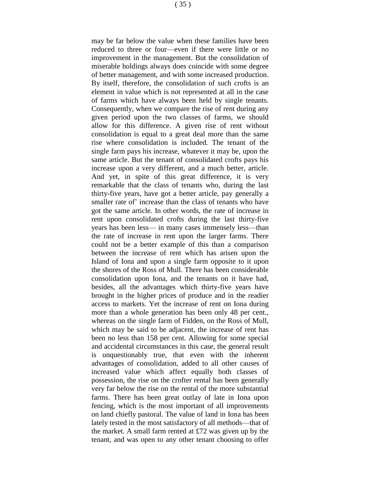may be far below the value when these families have been reduced to three or four—even if there were little or no improvement in the management. But the consolidation of miserable holdings always does coincide with some degree of better management, and with some increased production. By itself, therefore, the consolidation of such crofts is an element in value which is not represented at all in the case of farms which have always been held by single tenants. Consequently, when we compare the rise of rent during any given period upon the two classes of farms, we should allow for this difference. A given rise of rent without consolidation is equal to a great deal more than the same rise where consolidation is included. The tenant of the single farm pays his increase, whatever it may be, upon the same article. But the tenant of consolidated crofts pays his increase upon a very different, and a much better, article. And yet, in spite of this great difference, it is very remarkable that the class of tenants who, during the last thirty-five years, have got a better article, pay generally a smaller rate of' increase than the class of tenants who have got the same article. In other words, the rate of increase in rent upon consolidated crofts during the last thirty-five years has been less— in many cases immensely less—than the rate of increase in rent upon the larger farms. There could not be a better example of this than a comparison between the increase of rent which has arisen upon the Island of Iona and upon a single farm opposite to it upon the shores of the Ross of Mull. There has been considerable consolidation upon Iona, and the tenants on it have had, besides, all the advantages which thirty-five years have brought in the higher prices of produce and in the readier access to markets. Yet the increase of rent on Iona during more than a whole generation has been only 48 per cent., whereas on the single farm of Fidden, on the Ross of Mull, which may be said to be adjacent, the increase of rent has been no less than 158 per cent. Allowing for some special and accidental circumstances in this case, the general result is unquestionably true, that even with the inherent advantages of consolidation, added to all other causes of increased value which affect equally both classes of possession, the rise on the crofter rental has been generally very far below the rise on the rental of the more substantial farms. There has been great outlay of late in Iona upon fencing, which is the most important of all improvements on land chiefly pastoral. The value of land in Iona has been lately tested in the most satisfactory of all methods—that of the market. A small farm rented at  $£72$  was given up by the tenant, and was open to any other tenant choosing to offer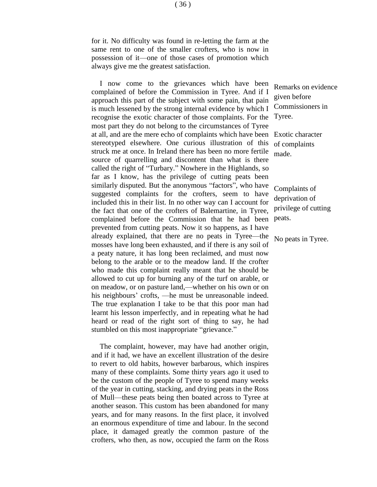for it. No difficulty was found in re-letting the farm at the same rent to one of the smaller crofters, who is now in possession of it—one of those cases of promotion which always give me the greatest satisfaction.

I now come to the grievances which have been complained of before the Commission in Tyree. And if I approach this part of the subject with some pain, that pain is much lessened by the strong internal evidence by which I recognise the exotic character of those complaints. For the most part they do not belong to the circumstances of Tyree at all, and are the mere echo of complaints which have been Exotic character stereotyped elsewhere. One curious illustration of this struck me at once. In Ireland there has been no more fertile source of quarrelling and discontent than what is there called the right of "Turbary." Nowhere in the Highlands, so far as I know, has the privilege of cutting peats been similarly disputed. But the anonymous "factors", who have suggested complaints for the crofters, seem to have included this in their list. In no other way can I account for the fact that one of the crofters of Balemartine, in Tyree, complained before the Commission that he had been prevented from cutting peats. Now it so happens, as I have already explained, that there are no peats in Tyree—the mosses have long been exhausted, and if there is any soil of a peaty nature, it has long been reclaimed, and must now belong to the arable or to the meadow land. If the crofter who made this complaint really meant that he should be allowed to cut up for burning any of the turf on arable, or on meadow, or on pasture land,—whether on his own or on his neighbours' crofts, —he must be unreasonable indeed. The true explanation I take to be that this poor man had learnt his lesson imperfectly, and in repeating what he had heard or read of the right sort of thing to say, he had stumbled on this most inappropriate "grievance."

The complaint, however, may have had another origin, and if it had, we have an excellent illustration of the desire to revert to old habits, however barbarous, which inspires many of these complaints. Some thirty years ago it used to be the custom of the people of Tyree to spend many weeks of the year in cutting, stacking, and drying peats in the Ross of Mull—these peats being then boated across to Tyree at another season. This custom has been abandoned for many years, and for many reasons. In the first place, it involved an enormous expenditure of time and labour. In the second place, it damaged greatly the common pasture of the crofters, who then, as now, occupied the farm on the Ross

Remarks on evidence given before Commissioners in Tyree.

of complaints made.

Complaints of deprivation of privilege of cutting peats.

No peats in Tyree.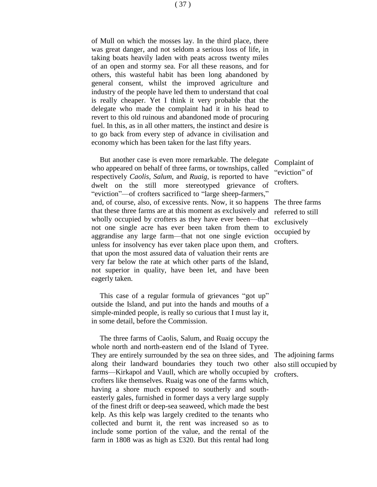of Mull on which the mosses lay. In the third place, there was great danger, and not seldom a serious loss of life, in taking boats heavily laden with peats across twenty miles of an open and stormy sea. For all these reasons, and for others, this wasteful habit has been long abandoned by general consent, whilst the improved agriculture and industry of the people have led them to understand that coal is really cheaper. Yet I think it very probable that the delegate who made the complaint had it in his head to revert to this old ruinous and abandoned mode of procuring fuel. In this, as in all other matters, the instinct and desire is to go back from every step of advance in civilisation and economy which has been taken for the last fifty years.

But another case is even more remarkable. The delegate who appeared on behalf of three farms, or townships, called respectively *Caolis*, *Salum*, and *Ruaig*, is reported to have dwelt on the still more stereotyped grievance of "eviction"—of crofters sacrificed to "large sheep-farmers," and, of course, also, of excessive rents. Now, it so happens that these three farms are at this moment as exclusively and wholly occupied by crofters as they have ever been—that not one single acre has ever been taken from them to aggrandise any large farm—that not one single eviction unless for insolvency has ever taken place upon them, and that upon the most assured data of valuation their rents are very far below the rate at which other parts of the Island, not superior in quality, have been let, and have been eagerly taken.

This case of a regular formula of grievances "got up" outside the Island, and put into the hands and mouths of a simple-minded people, is really so curious that I must lay it, in some detail, before the Commission.

The three farms of Caolis, Salum, and Ruaig occupy the whole north and north-eastern end of the Island of Tyree. They are entirely surrounded by the sea on three sides, and along their landward boundaries they touch two other farms—Kirkapol and Vaull, which are wholly occupied by crofters like themselves. Ruaig was one of the farms which, having a shore much exposed to southerly and southeasterly gales, furnished in former days a very large supply of the finest drift or deep-sea seaweed, which made the best kelp. As this kelp was largely credited to the tenants who collected and burnt it, the rent was increased so as to include some portion of the value, and the rental of the farm in 1808 was as high as £320. But this rental had long

Complaint of "eviction" of crofters.

The three farms referred to still exclusively occupied by crofters.

The adjoining farms also still occupied by crofters.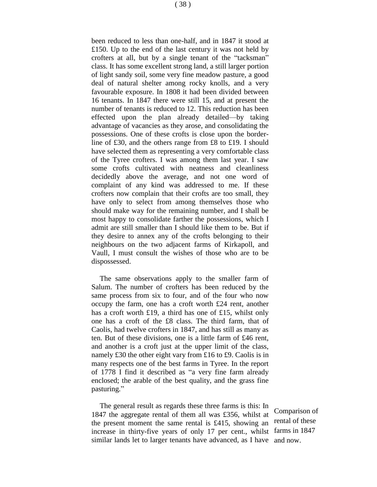( 38 )

been reduced to less than one-half, and in 1847 it stood at £150. Up to the end of the last century it was not held by crofters at all, but by a single tenant of the "tacksman" class. It has some excellent strong land, a still larger portion of light sandy soil, some very fine meadow pasture, a good deal of natural shelter among rocky knolls, and a very favourable exposure. In 1808 it had been divided between 16 tenants. In 1847 there were still 15, and at present the number of tenants is reduced to 12. This reduction has been effected upon the plan already detailed—by taking advantage of vacancies as they arose, and consolidating the possessions. One of these crofts is close upon the borderline of £30, and the others range from £8 to £19. I should have selected them as representing a very comfortable class of the Tyree crofters. I was among them last year. I saw some crofts cultivated with neatness and cleanliness decidedly above the average, and not one word of complaint of any kind was addressed to me. If these crofters now complain that their crofts are too small, they have only to select from among themselves those who should make way for the remaining number, and I shall be most happy to consolidate farther the possessions, which I admit are still smaller than I should like them to be. But if they desire to annex any of the crofts belonging to their neighbours on the two adjacent farms of Kirkapoll, and Vaull, I must consult the wishes of those who are to be dispossessed.

The same observations apply to the smaller farm of Salum. The number of crofters has been reduced by the same process from six to four, and of the four who now occupy the farm, one has a croft worth £24 rent, another has a croft worth £19, a third has one of £15, whilst only one has a croft of the £8 class. The third farm, that of Caolis, had twelve crofters in 1847, and has still as many as ten. But of these divisions, one is a little farm of £46 rent, and another is a croft just at the upper limit of the class, namely £30 the other eight vary from £16 to £9. Caolis is in many respects one of the best farms in Tyree. In the report of 1778 I find it described as "a very fine farm already enclosed; the arable of the best quality, and the grass fine pasturing."

The general result as regards these three farms is this: In 1847 the aggregate rental of them all was £356, whilst at the present moment the same rental is £415, showing an increase in thirty-five years of only 17 per cent., whilst farms in 1847 similar lands let to larger tenants have advanced, as I have and now.

Comparison of rental of these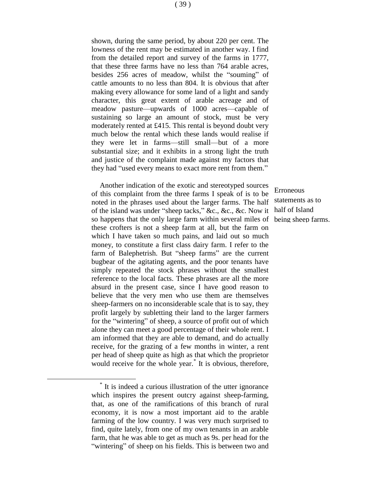shown, during the same period, by about 220 per cent. The lowness of the rent may be estimated in another way. I find from the detailed report and survey of the farms in 1777, that these three farms have no less than 764 arable acres, besides 256 acres of meadow, whilst the "souming" of cattle amounts to no less than 804. It is obvious that after making every allowance for some land of a light and sandy character, this great extent of arable acreage and of meadow pasture—upwards of 1000 acres—capable of sustaining so large an amount of stock, must be very moderately rented at £415. This rental is beyond doubt very much below the rental which these lands would realise if they were let in farms—still small—but of a more substantial size; and it exhibits in a strong light the truth and justice of the complaint made against my factors that they had "used every means to exact more rent from them."

Another indication of the exotic and stereotyped sources of this complaint from the three farms I speak of is to be noted in the phrases used about the larger farms. The half of the island was under "sheep tacks," &c., &c., &c. Now it so happens that the only large farm within several miles of these crofters is not a sheep farm at all, but the farm on which I have taken so much pains, and laid out so much money, to constitute a first class dairy farm. I refer to the farm of Balephetrish. But "sheep farms" are the current bugbear of the agitating agents, and the poor tenants have simply repeated the stock phrases without the smallest reference to the local facts. These phrases are all the more absurd in the present case, since I have good reason to believe that the very men who use them are themselves sheep-farmers on no inconsiderable scale that is to say, they profit largely by subletting their land to the larger farmers for the "wintering" of sheep, a source of profit out of which alone they can meet a good percentage of their whole rent. I am informed that they are able to demand, and do actually receive, for the grazing of a few months in winter, a rent per head of sheep quite as high as that which the proprietor would receive for the whole year.\* It is obvious, therefore,

\* It is indeed a curious illustration of the utter ignorance which inspires the present outcry against sheep-farming, that, as one of the ramifications of this branch of rural economy, it is now a most important aid to the arable farming of the low country. I was very much surprised to find, quite lately, from one of my own tenants in an arable farm, that he was able to get as much as 9s. per head for the "wintering" of sheep on his fields. This is between two and

 $\overline{a}$ 

Erroneous statements as to half of Island being sheep farms.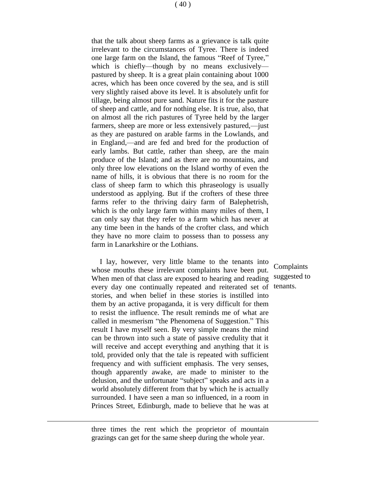that the talk about sheep farms as a grievance is talk quite irrelevant to the circumstances of Tyree. There is indeed one large farm on the Island, the famous "Reef of Tyree," which is chiefly—though by no means exclusively pastured by sheep. It is a great plain containing about 1000 acres, which has been once covered by the sea, and is still very slightly raised above its level. It is absolutely unfit for tillage, being almost pure sand. Nature fits it for the pasture of sheep and cattle, and for nothing else. It is true, also, that on almost all the rich pastures of Tyree held by the larger farmers, sheep are more or less extensively pastured,—just as they are pastured on arable farms in the Lowlands, and in England,—and are fed and bred for the production of early lambs. But cattle, rather than sheep, are the main produce of the Island; and as there are no mountains, and only three low elevations on the Island worthy of even the name of hills, it is obvious that there is no room for the class of sheep farm to which this phraseology is usually understood as applying. But if the crofters of these three farms refer to the thriving dairy farm of Balephetrish, which is the only large farm within many miles of them, I can only say that they refer to a farm which has never at any time been in the hands of the crofter class, and which they have no more claim to possess than to possess any farm in Lanarkshire or the Lothians.

I lay, however, very little blame to the tenants into whose mouths these irrelevant complaints have been put. When men of that class are exposed to hearing and reading every day one continually repeated and reiterated set of tenants.stories, and when belief in these stories is instilled into them by an active propaganda, it is very difficult for them to resist the influence. The result reminds me of what are called in mesmerism "the Phenomena of Suggestion." This result I have myself seen. By very simple means the mind can be thrown into such a state of passive credulity that it will receive and accept everything and anything that it is told, provided only that the tale is repeated with sufficient frequency and with sufficient emphasis. The very senses, though apparently awake, are made to minister to the delusion, and the unfortunate "subject" speaks and acts in a world absolutely different from that by which he is actually surrounded. I have seen a man so influenced, in a room in Princes Street, Edinburgh, made to believe that he was at

Complaints suggested to

three times the rent which the proprietor of mountain grazings can get for the same sheep during the whole year.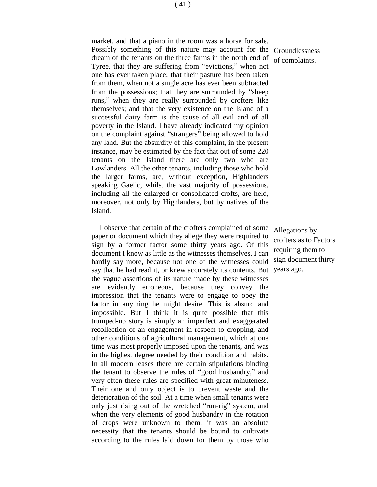market, and that a piano in the room was a horse for sale. Possibly something of this nature may account for the Groundlessness dream of the tenants on the three farms in the north end of Tyree, that they are suffering from "evictions," when not one has ever taken place; that their pasture has been taken from them, when not a single acre has ever been subtracted from the possessions; that they are surrounded by "sheep runs," when they are really surrounded by crofters like themselves; and that the very existence on the Island of a successful dairy farm is the cause of all evil and of all poverty in the Island. I have already indicated my opinion on the complaint against "strangers" being allowed to hold any land. But the absurdity of this complaint, in the present instance, may be estimated by the fact that out of some 220 tenants on the Island there are only two who are Lowlanders. All the other tenants, including those who hold the larger farms, are, without exception, Highlanders speaking Gaelic, whilst the vast majority of possessions, including all the enlarged or consolidated crofts, are held, moreover, not only by Highlanders, but by natives of the Island.

I observe that certain of the crofters complained of some paper or document which they allege they were required to sign by a former factor some thirty years ago. Of this document I know as little as the witnesses themselves. I can hardly say more, because not one of the witnesses could say that he had read it, or knew accurately its contents. But years ago.the vague assertions of its nature made by these witnesses are evidently erroneous, because they convey the impression that the tenants were to engage to obey the factor in anything he might desire. This is absurd and impossible. But I think it is quite possible that this trumped-up story is simply an imperfect and exaggerated recollection of an engagement in respect to cropping, and other conditions of agricultural management, which at one time was most properly imposed upon the tenants, and was in the highest degree needed by their condition and habits. In all modern leases there are certain stipulations binding the tenant to observe the rules of "good husbandry," and very often these rules are specified with great minuteness. Their one and only object is to prevent waste and the deterioration of the soil. At a time when small tenants were only just rising out of the wretched "run-rig" system, and when the very elements of good husbandry in the rotation of crops were unknown to them, it was an absolute necessity that the tenants should be bound to cultivate according to the rules laid down for them by those who

of complaints.

Allegations by crofters as to Factors requiring them to sign document thirty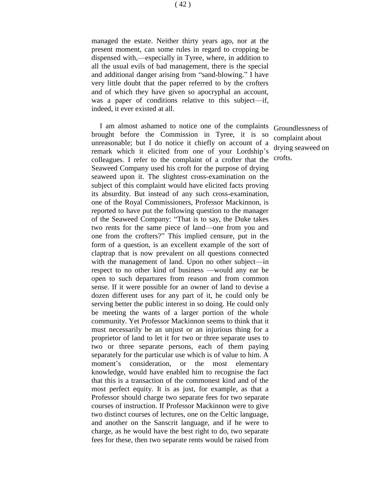managed the estate. Neither thirty years ago, nor at the present moment, can some rules in regard to cropping be dispensed with,—especially in Tyree, where, in addition to all the usual evils of bad management, there is the special and additional danger arising from "sand-blowing." I have very little doubt that the paper referred to by the crofters and of which they have given so apocryphal an account, was a paper of conditions relative to this subject—if, indeed, it ever existed at all.

I am almost ashamed to notice one of the complaints brought before the Commission in Tyree, it is so unreasonable; but I do notice it chiefly on account of a remark which it elicited from one of your Lordship's colleagues. I refer to the complaint of a crofter that the Seaweed Company used his croft for the purpose of drying seaweed upon it. The slightest cross-examination on the subject of this complaint would have elicited facts proving its absurdity. But instead of any such cross-examination, one of the Royal Commissioners, Professor Mackinnon, is reported to have put the following question to the manager of the Seaweed Company: "That is to say, the Duke takes two rents for the same piece of land—one from you and one from the crofters?" This implied censure, put in the form of a question, is an excellent example of the sort of claptrap that is now prevalent on all questions connected with the management of land. Upon no other subject—in respect to no other kind of business —would any ear be open to such departures from reason and from common sense. If it were possible for an owner of land to devise a dozen different uses for any part of it, he could only be serving better the public interest in so doing. He could only be meeting the wants of a larger portion of the whole community. Yet Professor Mackinnon seems to think that it must necessarily be an unjust or an injurious thing for a proprietor of land to let it for two or three separate uses to two or three separate persons, each of them paying separately for the particular use which is of value to him. A moment's consideration, or the most elementary knowledge, would have enabled him to recognise the fact that this is a transaction of the commonest kind and of the most perfect equity. It is as just, for example, as that a Professor should charge two separate fees for two separate courses of instruction. If Professor Mackinnon were to give two distinct courses of lectures, one on the Celtic language, and another on the Sanscrit language, and if he were to charge, as he would have the best right to do, two separate fees for these, then two separate rents would be raised from

Groundlessness of complaint about drying seaweed on crofts.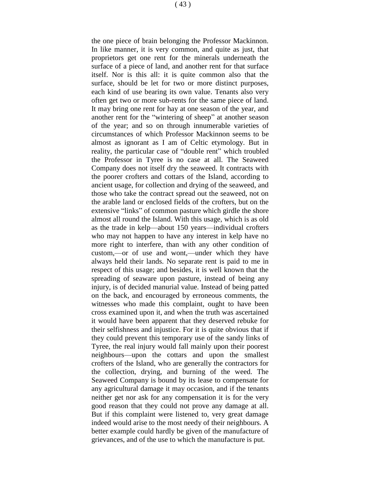the one piece of brain belonging the Professor Mackinnon. In like manner, it is very common, and quite as just, that proprietors get one rent for the minerals underneath the surface of a piece of land, and another rent for that surface itself. Nor is this all: it is quite common also that the surface, should be let for two or more distinct purposes, each kind of use bearing its own value. Tenants also very often get two or more sub-rents for the same piece of land. It may bring one rent for hay at one season of the year, and another rent for the "wintering of sheep" at another season of the year; and so on through innumerable varieties of circumstances of which Professor Mackinnon seems to be almost as ignorant as I am of Celtic etymology. But in reality, the particular case of "double rent" which troubled the Professor in Tyree is no case at all. The Seaweed Company does not itself dry the seaweed. It contracts with the poorer crofters and cottars of the Island, according to ancient usage, for collection and drying of the seaweed, and those who take the contract spread out the seaweed, not on the arable land or enclosed fields of the crofters, but on the extensive "links" of common pasture which girdle the shore almost all round the Island. With this usage, which is as old as the trade in kelp—about 150 years—individual crofters who may not happen to have any interest in kelp have no more right to interfere, than with any other condition of custom,—or of use and wont,—under which they have always held their lands. No separate rent is paid to me in respect of this usage; and besides, it is well known that the spreading of seaware upon pasture, instead of being any injury, is of decided manurial value. Instead of being patted on the back, and encouraged by erroneous comments, the witnesses who made this complaint, ought to have been cross examined upon it, and when the truth was ascertained it would have been apparent that they deserved rebuke for their selfishness and injustice. For it is quite obvious that if they could prevent this temporary use of the sandy links of Tyree, the real injury would fall mainly upon their poorest neighbours—upon the cottars and upon the smallest crofters of the Island, who are generally the contractors for the collection, drying, and burning of the weed. The Seaweed Company is bound by its lease to compensate for any agricultural damage it may occasion, and if the tenants neither get nor ask for any compensation it is for the very good reason that they could not prove any damage at all. But if this complaint were listened to, very great damage indeed would arise to the most needy of their neighbours. A better example could hardly be given of the manufacture of grievances, and of the use to which the manufacture is put.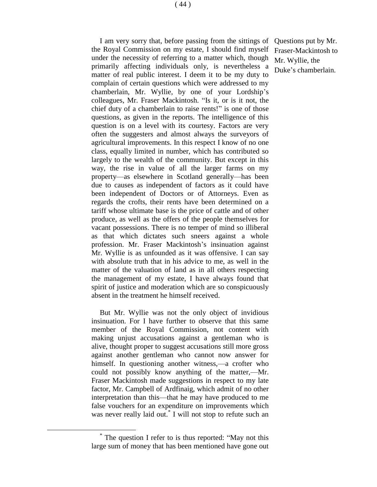I am very sorry that, before passing from the sittings of the Royal Commission on my estate, I should find myself under the necessity of referring to a matter which, though primarily affecting individuals only, is nevertheless a matter of real public interest. I deem it to be my duty to complain of certain questions which were addressed to my chamberlain, Mr. Wyllie, by one of your Lordship's colleagues, Mr. Fraser Mackintosh. "Is it, or is it not, the chief duty of a chamberlain to raise rents!" is one of those questions, as given in the reports. The intelligence of this question is on a level with its courtesy. Factors are very often the suggesters and almost always the surveyors of agricultural improvements. In this respect I know of no one class, equally limited in number, which has contributed so largely to the wealth of the community. But except in this way, the rise in value of all the larger farms on my property—as elsewhere in Scotland generally—has been due to causes as independent of factors as it could have been independent of Doctors or of Attorneys. Even as regards the crofts, their rents have been determined on a tariff whose ultimate base is the price of cattle and of other produce, as well as the offers of the people themselves for vacant possessions. There is no temper of mind so illiberal as that which dictates such sneers against a whole profession. Mr. Fraser Mackintosh's insinuation against Mr. Wyllie is as unfounded as it was offensive. I can say with absolute truth that in his advice to me, as well in the matter of the valuation of land as in all others respecting the management of my estate, I have always found that spirit of justice and moderation which are so conspicuously absent in the treatment he himself received.

But Mr. Wyllie was not the only object of invidious insinuation. For I have further to observe that this same member of the Royal Commission, not content with making unjust accusations against a gentleman who is alive, thought proper to suggest accusations still more gross against another gentleman who cannot now answer for himself. In questioning another witness,—a crofter who could not possibly know anything of the matter,—Mr. Fraser Mackintosh made suggestions in respect to my late factor, Mr. Campbell of Ardfinaig, which admit of no other interpretation than this—that he may have produced to me false vouchers for an expenditure on improvements which was never really laid out.<sup>\*</sup> I will not stop to refute such an

<sup>\*</sup> The question I refer to is thus reported: "May not this large sum of money that has been mentioned have gone out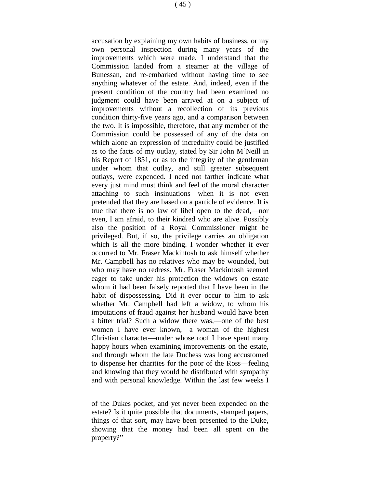accusation by explaining my own habits of business, or my own personal inspection during many years of the improvements which were made. I understand that the Commission landed from a steamer at the village of Bunessan, and re-embarked without having time to see anything whatever of the estate. And, indeed, even if the present condition of the country had been examined no judgment could have been arrived at on a subject of improvements without a recollection of its previous condition thirty-five years ago, and a comparison between the two. It is impossible, therefore, that any member of the Commission could be possessed of any of the data on which alone an expression of incredulity could be justified as to the facts of my outlay, stated by Sir John M'Neill in his Report of 1851, or as to the integrity of the gentleman under whom that outlay, and still greater subsequent outlays, were expended. I need not farther indicate what every just mind must think and feel of the moral character attaching to such insinuations—when it is not even pretended that they are based on a particle of evidence. It is true that there is no law of libel open to the dead,—nor even, I am afraid, to their kindred who are alive. Possibly also the position of a Royal Commissioner might be privileged. But, if so, the privilege carries an obligation which is all the more binding. I wonder whether it ever occurred to Mr. Fraser Mackintosh to ask himself whether Mr. Campbell has no relatives who may be wounded, but who may have no redress. Mr. Fraser Mackintosh seemed eager to take under his protection the widows on estate whom it had been falsely reported that I have been in the habit of dispossessing. Did it ever occur to him to ask whether Mr. Campbell had left a widow, to whom his imputations of fraud against her husband would have been a bitter trial? Such a widow there was,—one of the best women I have ever known,—a woman of the highest Christian character—under whose roof I have spent many happy hours when examining improvements on the estate, and through whom the late Duchess was long accustomed to dispense her charities for the poor of the Ross—feeling and knowing that they would be distributed with sympathy and with personal knowledge. Within the last few weeks I

of the Dukes pocket, and yet never been expended on the estate? Is it quite possible that documents, stamped papers, things of that sort, may have been presented to the Duke, showing that the money had been all spent on the property?"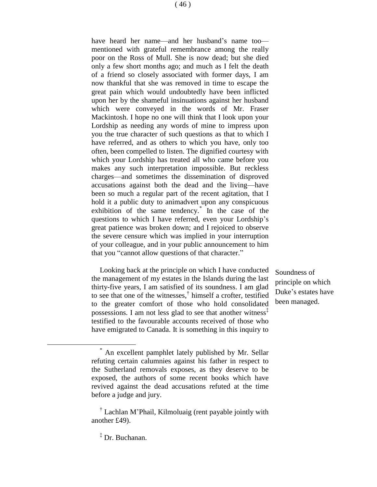have heard her name—and her husband's name too mentioned with grateful remembrance among the really poor on the Ross of Mull. She is now dead; but she died only a few short months ago; and much as I felt the death of a friend so closely associated with former days, I am now thankful that she was removed in time to escape the great pain which would undoubtedly have been inflicted upon her by the shameful insinuations against her husband which were conveyed in the words of Mr. Fraser Mackintosh. I hope no one will think that I look upon your Lordship as needing any words of mine to impress upon you the true character of such questions as that to which I have referred, and as others to which you have, only too often, been compelled to listen. The dignified courtesy with which your Lordship has treated all who came before you makes any such interpretation impossible. But reckless charges—and sometimes the dissemination of disproved accusations against both the dead and the living—have

been so much a regular part of the recent agitation, that I hold it a public duty to animadvert upon any conspicuous exhibition of the same tendency.\* In the case of the questions to which I have referred, even your Lordship's great patience was broken down; and I rejoiced to observe the severe censure which was implied in your interruption of your colleague, and in your public announcement to him that you "cannot allow questions of that character."

Looking back at the principle on which I have conducted the management of my estates in the Islands during the last thirty-five years, I am satisfied of its soundness. I am glad to see that one of the witnesses,† himself a crofter, testified to the greater comfort of those who hold consolidated possessions. I am not less glad to see that another witness<sup> $\ddot{\ }$ </sup> testified to the favourable accounts received of those who have emigrated to Canada. It is something in this inquiry to

Soundness of principle on which Duke's estates have been managed.

An excellent pamphlet lately published by Mr. Sellar refuting certain calumnies against his father in respect to the Sutherland removals exposes, as they deserve to be exposed, the authors of some recent books which have revived against the dead accusations refuted at the time before a judge and jury.

<sup>†</sup> Lachlan M'Phail, Kilmoluaig (rent payable jointly with another £49).

<sup>‡</sup> Dr. Buchanan.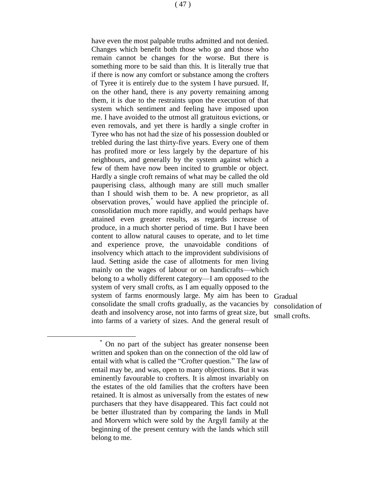have even the most palpable truths admitted and not denied. Changes which benefit both those who go and those who remain cannot be changes for the worse. But there is something more to be said than this. It is literally true that if there is now any comfort or substance among the crofters of Tyree it is entirely due to the system I have pursued. If, on the other hand, there is any poverty remaining among them, it is due to the restraints upon the execution of that system which sentiment and feeling have imposed upon me. I have avoided to the utmost all gratuitous evictions, or even removals, and yet there is hardly a single crofter in Tyree who has not had the size of his possession doubled or trebled during the last thirty-five years. Every one of them has profited more or less largely by the departure of his neighbours, and generally by the system against which a few of them have now been incited to grumble or object.

Hardly a single croft remains of what may be called the old pauperising class, although many are still much smaller than I should wish them to be. A new proprietor, as all observation proves,\* would have applied the principle of. consolidation much more rapidly, and would perhaps have attained even greater results, as regards increase of produce, in a much shorter period of time. But I have been content to allow natural causes to operate, and to let time and experience prove, the unavoidable conditions of insolvency which attach to the improvident subdivisions of laud. Setting aside the case of allotments for men living mainly on the wages of labour or on handicrafts—which belong to a wholly different category—I am opposed to the system of very small crofts, as I am equally opposed to the system of farms enormously large. My aim has been to Gradual consolidate the small crofts gradually, as the vacancies by death and insolvency arose, not into farms of great size, but into farms of a variety of sizes. And the general result of

consolidation of small crofts.

On no part of the subject has greater nonsense been written and spoken than on the connection of the old law of entail with what is called the "Crofter question." The law of entail may be, and was, open to many objections. But it was eminently favourable to crofters. It is almost invariably on the estates of the old families that the crofters have been retained. It is almost as universally from the estates of new purchasers that they have disappeared. This fact could not be better illustrated than by comparing the lands in Mull and Morvern which were sold by the Argyll family at the beginning of the present century with the lands which still belong to me.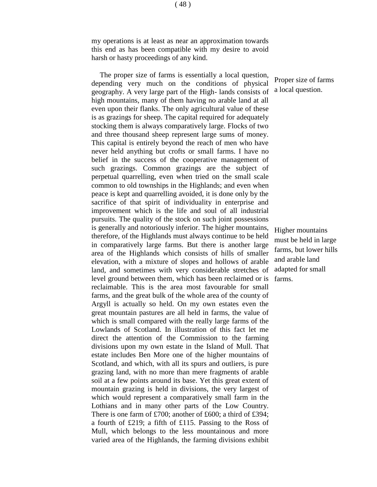my operations is at least as near an approximation towards this end as has been compatible with my desire to avoid harsh or hasty proceedings of any kind.

The proper size of farms is essentially a local question, depending very much on the conditions of physical geography. A very large part of the High- lands consists of high mountains, many of them having no arable land at all even upon their flanks. The only agricultural value of these is as grazings for sheep. The capital required for adequately stocking them is always comparatively large. Flocks of two and three thousand sheep represent large sums of money. This capital is entirely beyond the reach of men who have never held anything but crofts or small farms. I have no belief in the success of the cooperative management of such grazings. Common grazings are the subject of perpetual quarrelling, even when tried on the small scale common to old townships in the Highlands; and even when peace is kept and quarrelling avoided, it is done only by the sacrifice of that spirit of individuality in enterprise and improvement which is the life and soul of all industrial pursuits. The quality of the stock on such joint possessions is generally and notoriously inferior. The higher mountains, therefore, of the Highlands must always continue to be held in comparatively large farms. But there is another large area of the Highlands which consists of hills of smaller elevation, with a mixture of slopes and hollows of arable land, and sometimes with very considerable stretches of level ground between them, which has been reclaimed or is reclaimable. This is the area most favourable for small farms, and the great bulk of the whole area of the county of Argyll is actually so held. On my own estates even the great mountain pastures are all held in farms, the value of which is small compared with the really large farms of the Lowlands of Scotland. In illustration of this fact let me direct the attention of the Commission to the farming divisions upon my own estate in the Island of Mull. That estate includes Ben More one of the higher mountains of Scotland, and which, with all its spurs and outliers, is pure grazing land, with no more than mere fragments of arable soil at a few points around its base. Yet this great extent of mountain grazing is held in divisions, the very largest of which would represent a comparatively small farm in the Lothians and in many other parts of the Low Country. There is one farm of £700; another of £600; a third of £394; a fourth of £219; a fifth of £115. Passing to the Ross of Mull, which belongs to the less mountainous and more varied area of the Highlands, the farming divisions exhibit

Proper size of farms a local question.

Higher mountains must be held in large farms, but lower hills and arable land adapted for small farms.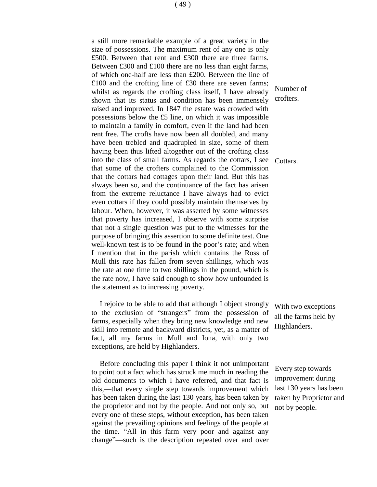a still more remarkable example of a great variety in the size of possessions. The maximum rent of any one is only £500. Between that rent and £300 there are three farms. Between £300 and £100 there are no less than eight farms, of which one-half are less than £200. Between the line of £100 and the crofting line of £30 there are seven farms; whilst as regards the crofting class itself, I have already shown that its status and condition has been immensely raised and improved. In 1847 the estate was crowded with possessions below the £5 line, on which it was impossible to maintain a family in comfort, even if the land had been rent free. The crofts have now been all doubled, and many have been trebled and quadrupled in size, some of them having been thus lifted altogether out of the crofting class into the class of small farms. As regards the cottars, I see that some of the crofters complained to the Commission that the cottars had cottages upon their land. But this has always been so, and the continuance of the fact has arisen from the extreme reluctance I have always had to evict even cottars if they could possibly maintain themselves by labour. When, however, it was asserted by some witnesses that poverty has increased, I observe with some surprise that not a single question was put to the witnesses for the purpose of bringing this assertion to some definite test. One well-known test is to be found in the poor's rate; and when I mention that in the parish which contains the Ross of Mull this rate has fallen from seven shillings, which was the rate at one time to two shillings in the pound, which is the rate now, I have said enough to show how unfounded is the statement as to increasing poverty.

I rejoice to be able to add that although I object strongly to the exclusion of "strangers" from the possession of farms, especially when they bring new knowledge and new skill into remote and backward districts, yet, as a matter of fact, all my farms in Mull and Iona, with only two exceptions, are held by Highlanders.

Before concluding this paper I think it not unimportant to point out a fact which has struck me much in reading the old documents to which I have referred, and that fact is this,—that every single step towards improvement which has been taken during the last 130 years, has been taken by the proprietor and not by the people. And not only so, but every one of these steps, without exception, has been taken against the prevailing opinions and feelings of the people at the time. "All in this farm very poor and against any change"—such is the description repeated over and over

Number of crofters.

Cottars.

With two exceptions all the farms held by Highlanders.

Every step towards improvement during last 130 years has been taken by Proprietor and not by people.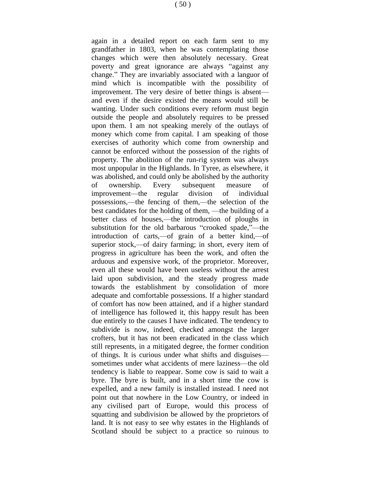again in a detailed report on each farm sent to my grandfather in 1803, when he was contemplating those changes which were then absolutely necessary. Great poverty and great ignorance are always "against any change." They are invariably associated with a languor of mind which is incompatible with the possibility of improvement. The very desire of better things is absent and even if the desire existed the means would still be wanting. Under such conditions every reform must begin outside the people and absolutely requires to be pressed upon them. I am not speaking merely of the outlays of money which come from capital. I am speaking of those exercises of authority which come from ownership and cannot be enforced without the possession of the rights of property. The abolition of the run-rig system was always most unpopular in the Highlands. In Tyree, as elsewhere, it was abolished, and could only be abolished by the authority of ownership. Every subsequent measure of improvement—the regular division of individual possessions,—the fencing of them,—the selection of the best candidates for the holding of them, —the building of a better class of houses,—the introduction of ploughs in substitution for the old barbarous "crooked spade,"—the introduction of carts,—of grain of a better kind,—of superior stock,—of dairy farming; in short, every item of progress in agriculture has been the work, and often the arduous and expensive work, of the proprietor. Moreover, even all these would have been useless without the arrest laid upon subdivision, and the steady progress made towards the establishment by consolidation of more adequate and comfortable possessions. If a higher standard of comfort has now been attained, and if a higher standard of intelligence has followed it, this happy result has been due entirely to the causes I have indicated. The tendency to subdivide is now, indeed, checked amongst the larger crofters, but it has not been eradicated in the class which still represents, in a mitigated degree, the former condition of things. It is curious under what shifts and disguises sometimes under what accidents of mere laziness—the old tendency is liable to reappear. Some cow is said to wait a byre. The byre is built, and in a short time the cow is expelled, and a new family is installed instead. I need not point out that nowhere in the Low Country, or indeed in any civilised part of Europe, would this process of squatting and subdivision be allowed by the proprietors of land. It is not easy to see why estates in the Highlands of Scotland should be subject to a practice so ruinous to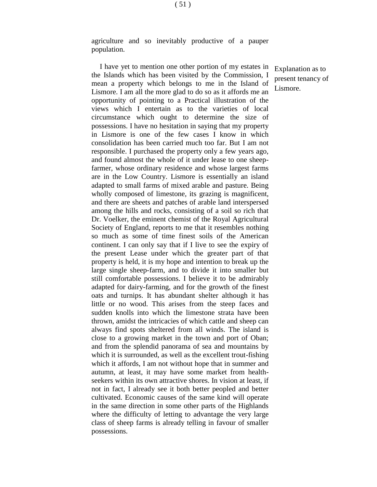agriculture and so inevitably productive of a pauper population.

I have yet to mention one other portion of my estates in the Islands which has been visited by the Commission, I mean a property which belongs to me in the Island of Lismore. I am all the more glad to do so as it affords me an opportunity of pointing to a Practical illustration of the views which I entertain as to the varieties of local circumstance which ought to determine the size of possessions. I have no hesitation in saying that my property in Lismore is one of the few cases I know in which consolidation has been carried much too far. But I am not responsible. I purchased the property only a few years ago, and found almost the whole of it under lease to one sheepfarmer, whose ordinary residence and whose largest farms are in the Low Country. Lismore is essentially an island adapted to small farms of mixed arable and pasture. Being wholly composed of limestone, its grazing is magnificent, and there are sheets and patches of arable land interspersed among the hills and rocks, consisting of a soil so rich that Dr. Voelker, the eminent chemist of the Royal Agricultural Society of England, reports to me that it resembles nothing so much as some of time finest soils of the American continent. I can only say that if I live to see the expiry of the present Lease under which the greater part of that property is held, it is my hope and intention to break up the large single sheep-farm, and to divide it into smaller but still comfortable possessions. I believe it to be admirably adapted for dairy-farming, and for the growth of the finest oats and turnips. It has abundant shelter although it has little or no wood. This arises from the steep faces and sudden knolls into which the limestone strata have been thrown, amidst the intricacies of which cattle and sheep can always find spots sheltered from all winds. The island is close to a growing market in the town and port of Oban; and from the splendid panorama of sea and mountains by which it is surrounded, as well as the excellent trout-fishing which it affords, I am not without hope that in summer and autumn, at least, it may have some market from healthseekers within its own attractive shores. In vision at least, if not in fact, I already see it both better peopled and better cultivated. Economic causes of the same kind will operate in the same direction in some other parts of the Highlands where the difficulty of letting to advantage the very large class of sheep farms is already telling in favour of smaller possessions.

Explanation as to present tenancy of Lismore.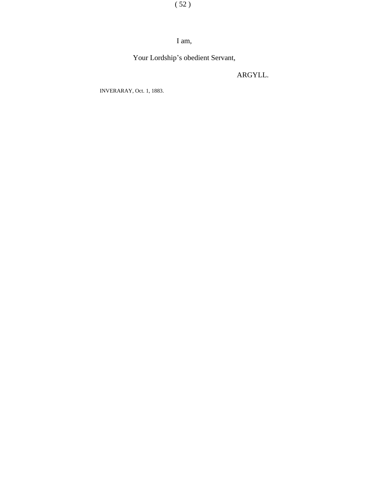( 52 )

#### I am,

Your Lordship's obedient Servant,

ARGYLL.

INVERARAY, Oct. 1, 1883.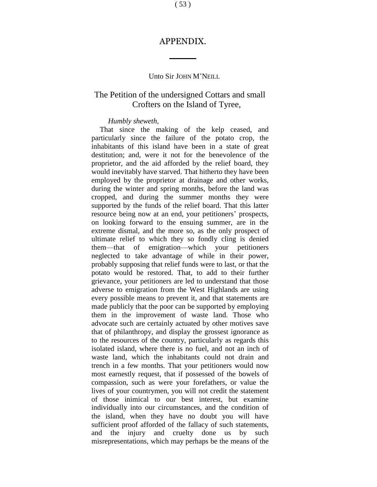#### APPENDIX.

#### Unto Sir JOHN M'NEILL

#### The Petition of the undersigned Cottars and small Crofters on the Island of Tyree,

#### *Humbly sheweth,*

That since the making of the kelp ceased, and particularly since the failure of the potato crop, the inhabitants of this island have been in a state of great destitution; and, were it not for the benevolence of the proprietor, and the aid afforded by the relief board, they would inevitably have starved. That hitherto they have been employed by the proprietor at drainage and other works, during the winter and spring months, before the land was cropped, and during the summer months they were supported by the funds of the relief board. That this latter resource being now at an end, your petitioners' prospects, on looking forward to the ensuing summer, are in the extreme dismal, and the more so, as the only prospect of ultimate relief to which they so fondly cling is denied them—that of emigration—which your petitioners neglected to take advantage of while in their power, probably supposing that relief funds were to last, or that the potato would be restored. That, to add to their further grievance, your petitioners are led to understand that those adverse to emigration from the West Highlands are using every possible means to prevent it, and that statements are made publicly that the poor can be supported by employing them in the improvement of waste land. Those who advocate such are certainly actuated by other motives save that of philanthropy, and display the grossest ignorance as to the resources of the country, particularly as regards this isolated island, where there is no fuel, and not an inch of waste land, which the inhabitants could not drain and trench in a few months. That your petitioners would now most earnestly request, that if possessed of the bowels of compassion, such as were your forefathers, or value the lives of your countrymen, you will not credit the statement of those inimical to our best interest, but examine individually into our circumstances, and the condition of the island, when they have no doubt you will have sufficient proof afforded of the fallacy of such statements, and the injury and cruelty done us by such misrepresentations, which may perhaps be the means of the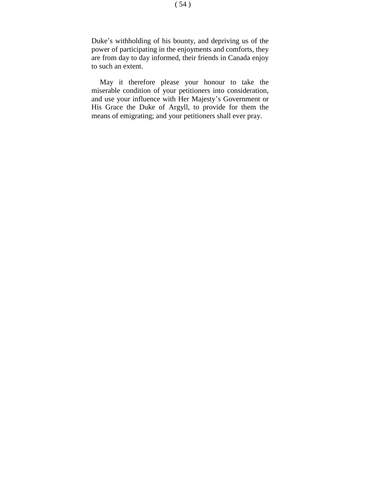Duke's withholding of his bounty, and depriving us of the power of participating in the enjoyments and comforts, they are from day to day informed, their friends in Canada enjoy to such an extent.

May it therefore please your honour to take the miserable condition of your petitioners into consideration, and use your influence with Her Majesty's Government or His Grace the Duke of Argyll, to provide for them the means of emigrating; and your petitioners shall ever pray.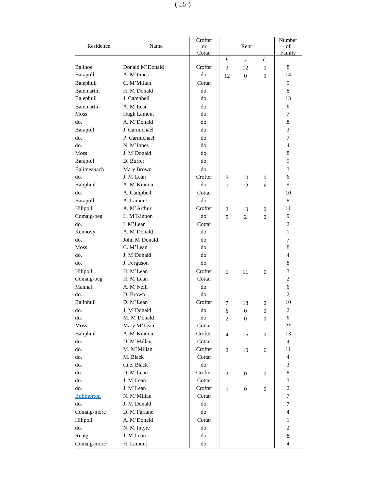$(\,55\,)$ 

|                   | Name               | Crofter   |                |                  | Number           |                  |  |
|-------------------|--------------------|-----------|----------------|------------------|------------------|------------------|--|
| Residence         |                    | <b>or</b> |                | Rent             | of               |                  |  |
|                   |                    | Cottar    |                |                  |                  | Family           |  |
|                   |                    |           | £              | S.               | d.               |                  |  |
| Balinoe           | Donald M'Donald    | Crofter   | 3              | 12               | $\overline{0}$   | 8                |  |
| Barapoll          | A. M'Innes         | do.       | 12             | $\overline{0}$   | $\overline{0}$   | 14               |  |
| Balephuil         | C. M'Millan        | Cottar    |                |                  |                  | 9                |  |
| Balemartin        | H. M'Donald        | do.       |                |                  |                  | 8                |  |
| Balephuil         | J. Campbell        | do.       |                |                  |                  | 13               |  |
| Balemartin        | A. M'Lean          | do.       |                |                  |                  | 6                |  |
| Moss              | <b>Hugh Lamont</b> | do.       |                |                  |                  | 7                |  |
| do.               | A. M'Donald        | do.       |                |                  |                  | 8                |  |
| Barapoll          | J. Carmichael      | do.       |                |                  |                  | 3                |  |
| do.               | P. Carmichael      | do.       |                |                  |                  | $\overline{7}$   |  |
| do.               | N. M'Innes         | do.       |                |                  |                  | 4                |  |
| Moss              | J. M'Donald        | do.       |                |                  |                  | 8                |  |
| Barapoll          | D. Burrer          | do.       |                |                  |                  | 9                |  |
| Balimeanach       | Mary Brown         | do.       |                |                  |                  | 3                |  |
| do.               | J. M'Lean          | Crofter   | 5              | 10               | $\mathbf{0}$     | 6                |  |
| Baliphuil         | A. M'Kinnon        | do.       | $\mathbf{1}$   | 12               | 6                | 9                |  |
| do.               | A. Campbell        | Cottar    |                |                  |                  | 10               |  |
| Barapoll          | A. Lamont          | do.       |                |                  |                  | 8                |  |
| Hilipoll          | A. M'Arthur        | Crofter   | 2              | 10               | $\Omega$         | 11               |  |
| Comaig-beg        | L. M'Kinnon        | do.       | 5              | 2                | $\overline{0}$   | 9                |  |
| do.               | L M'Lean           | Cottar    |                |                  |                  | $\overline{2}$   |  |
| Kennovy           | A. M'Donald        | do.       |                |                  |                  | 1                |  |
| do.               | John M'Donald      | do.       |                |                  |                  | $\overline{7}$   |  |
| Moss              | C. M'Lean          | do.       |                |                  |                  | 8                |  |
| do.               | J. M'Donald        | do.       |                |                  |                  | 4                |  |
| do.               |                    | do.       |                |                  |                  | 8                |  |
|                   | J. Ferguson        |           |                |                  |                  |                  |  |
| Hilipoll          | H. M'Lean          | Crofter   | $\mathbf{1}$   | 11               | $\overline{0}$   | 3                |  |
| Comaig-beg        | H. M'Lean          | Cottar    |                |                  |                  | $\overline{2}$   |  |
| Mannal            | A. M'Neill         | do.       |                |                  |                  | 6                |  |
| do.               | D. Brown           | do.       |                |                  |                  | $\overline{2}$   |  |
| Baliphuil         | D. M'Lean          | Crofter   | 7              | 18               | $\overline{0}$   | 10               |  |
| do.               | J. M'Donald        | do.       | 6              | $\boldsymbol{0}$ | $\boldsymbol{0}$ | 2                |  |
| do.               | M. M'Donald        | do.       | $\overline{2}$ | $\theta$         | $\overline{0}$   | 6                |  |
| Moss              | Mary M'Lean        | Cottar    |                |                  |                  | $2*$             |  |
| Baliphuil         | A. M'Kinnon        | Crofter   | $\overline{4}$ | 16               | $\overline{0}$   | 13               |  |
| do.               | D. M'Millan        | Cottar    |                |                  |                  | $\overline{4}$   |  |
| do.               | M. M'Millan        | Crofter   | $\overline{c}$ | 10               | 6                | 11               |  |
| do.               | M. Black           | Cottar    |                |                  |                  | $\overline{4}$   |  |
| do.               | Cne. Black         | do.       |                |                  |                  | 3                |  |
| do.               | D. M'Lean          | Crofter   | 3              | $\mathbf{0}$     | $\overline{0}$   | 8                |  |
| do.               | J. M'Lean          | Cottar    |                |                  |                  | 3                |  |
| do.               | J. M'Lean          | Crofter   | $\mathbf{1}$   | $\boldsymbol{0}$ | $\boldsymbol{0}$ | $\sqrt{2}$       |  |
| <b>Bolimorton</b> | N. M'Millan        | Cottar    |                |                  |                  | $\tau$           |  |
| do.               | J. M'Donald        | do.       |                |                  |                  | $\overline{7}$   |  |
| Comaig-more       | D. M'Farlane       | do.       |                |                  |                  | $\overline{4}$   |  |
| Hilipoll          | A. M'Donald        | Cottar    |                |                  |                  | 1                |  |
| do.               | N. M'Intyre        | do.       |                |                  |                  | $\boldsymbol{2}$ |  |
| Ruaig             | J. M'Lean          | do.       |                |                  |                  | 8                |  |
| Comaig-more       | H. Lamont          | do.       |                |                  |                  | 4                |  |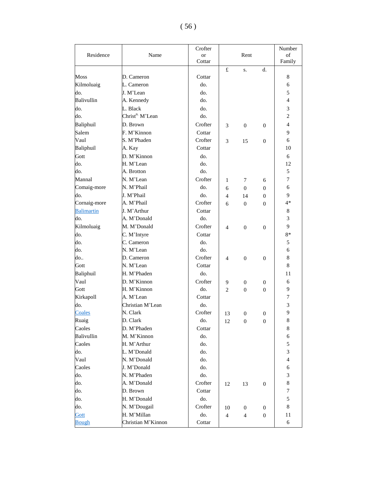|                   |                             | Crofter   | Rent           |                          |                  | Number           |
|-------------------|-----------------------------|-----------|----------------|--------------------------|------------------|------------------|
| Residence         | Name                        | <b>or</b> |                |                          |                  | of               |
|                   |                             | Cottar    |                |                          |                  | Family           |
|                   |                             |           | £              | S.                       | d.               |                  |
| Moss              | D. Cameron                  | Cottar    |                |                          |                  | 8                |
| Kilmoluaig        | L. Cameron                  | do.       |                |                          |                  | 6                |
| do.               | J. M'Lean                   | do.       |                |                          |                  | 5                |
| Balivullin        | A. Kennedy                  | do.       |                |                          |                  | $\overline{4}$   |
| do.               | L. Black                    | do.       |                |                          |                  | 3                |
| do.               | Christ <sup>n.</sup> M'Lean | do.       |                |                          |                  | $\overline{c}$   |
| Baliphuil         | D. Brown                    | Crofter   | 3              | $\overline{0}$           | $\theta$         | $\overline{4}$   |
| Salem             | F. M'Kinnon                 | Cottar    |                |                          |                  | 9                |
| Vaul              | S. M'Phaden                 | Crofter   | 3              | 15                       | $\theta$         | 6                |
| Baliphuil         | A. Kay                      | Cottar    |                |                          |                  | 10               |
| Gott              | D. M'Kinnon                 | do.       |                |                          |                  | 6                |
| do.               | H. M'Lean                   | do.       |                |                          |                  | 12               |
| do.               | A. Brotton                  | do.       |                |                          |                  | 5                |
| Mannal            | N. M'Lean                   | Crofter   | 1              | 7                        | 6                | $\overline{7}$   |
| Comaig-more       | N. M'Phail                  | do.       | 6              | $\overline{0}$           | $\theta$         | 6                |
| do.               | J. M'Phail                  | do.       | $\overline{4}$ | 14                       | $\overline{0}$   | 9                |
| Cornaig-more      | A. M'Phail                  | Crofter   | 6              | $\mathbf{0}$             | $\theta$         | $4*$             |
| <b>Balimartin</b> | J. M'Arthur                 | Cottar    |                |                          |                  | 8                |
| do.               | A. M'Donald                 | do.       |                |                          |                  | 3                |
| Kilmoluaig        | M. M'Donald                 | Crofter   | $\overline{4}$ | $\boldsymbol{0}$         | $\boldsymbol{0}$ | 9                |
| do.               | C. M'Intyre                 | Cottar    |                |                          |                  | $8*$             |
| do.               | C. Cameron                  | do.       |                |                          |                  | 5                |
| do.               | N. M'Lean                   | do.       |                |                          |                  | 6                |
| do                | D. Cameron                  | Crofter   | $\overline{4}$ | $\boldsymbol{0}$         | $\boldsymbol{0}$ | $\,$ 8 $\,$      |
| Gott              | N. M'Lean                   | Cottar    |                |                          |                  | $\,$ 8 $\,$      |
| Baliphuil         | H. M'Phaden                 | do.       |                |                          |                  | 11               |
| Vaul              | D. M'Kinnon                 | Crofter   | 9              | $\boldsymbol{0}$         | $\boldsymbol{0}$ | 6                |
| Gott              | H. M'Kinnon                 | do.       | $\overline{2}$ | $\mathbf{0}$             | $\overline{0}$   | 9                |
| Kirkapoll         | A. M'Lean                   | Cottar    |                |                          |                  | 7                |
| do.               | Christian M'Lean            | do.       |                |                          |                  | 3                |
| Coales            | N. Clark                    | Crofter   | 13             | $\boldsymbol{0}$         | 0                | 9                |
| Ruaig             | D. Clark                    | do.       | 12             | $\overline{0}$           | $\boldsymbol{0}$ | $\,$ 8 $\,$      |
| Caoles            | D. M'Phaden                 | Cottar    |                |                          |                  | 8                |
| Balivullin        | M. M'Kinnon                 | do.       |                |                          |                  | $\sqrt{6}$       |
| Caoles            | H. M'Arthur                 | do.       |                |                          |                  | 5                |
| do.               | L. M'Donald                 | do.       |                |                          |                  | 3                |
| Vaul              | N. M'Donald                 | do.       |                |                          |                  | $\overline{4}$   |
| Caoles            | J. M'Donald                 | do.       |                |                          |                  | 6                |
| do.               | N. M'Phaden                 | do.       |                |                          |                  | $\mathfrak{Z}$   |
| do.               | A. M'Donald                 | Crofter   |                |                          |                  | $\,$ 8 $\,$      |
| do.               | D. Brown                    | Cottar    | 12             | 13                       | $\boldsymbol{0}$ | $\boldsymbol{7}$ |
| do.               | H. M'Donald                 | do.       |                |                          |                  | 5                |
|                   | N. M'Dougail                | Crofter   |                |                          |                  | $8\,$            |
| do.               |                             |           | 10             | $\boldsymbol{0}$         | 0                |                  |
| Gott              | H. M'Millan                 | do.       | $\overline{4}$ | $\overline{\mathcal{A}}$ | $\boldsymbol{0}$ | 11               |
| <b>Bough</b>      | Christian M'Kinnon          | Cottar    |                |                          |                  | 6                |